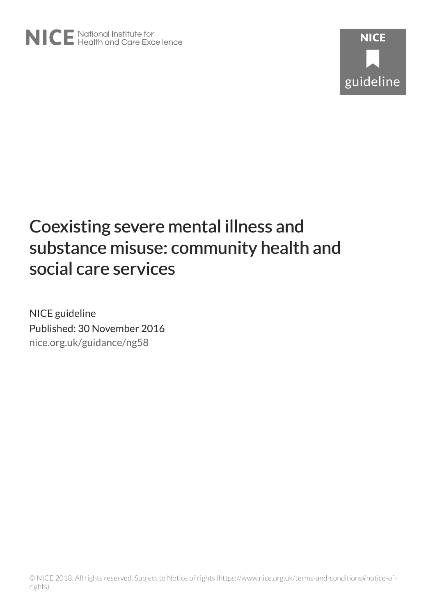

NICE guideline Published: 30 November 2016 [nice.org.uk/guidance/ng58](http://nice.org.uk/guidance/ng58)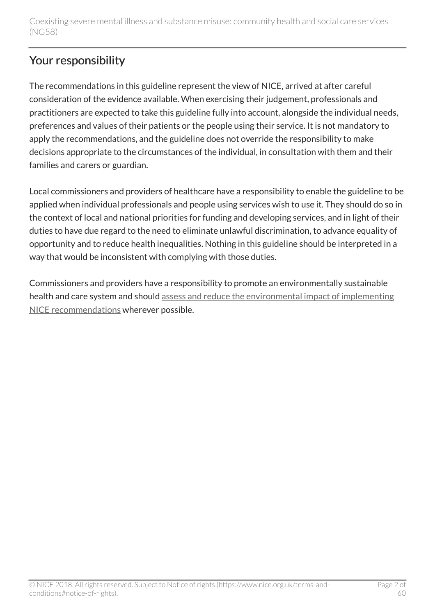## Your responsibility

The recommendations in this guideline represent the view of NICE, arrived at after careful consideration of the evidence available. When exercising their judgement, professionals and practitioners are expected to take this guideline fully into account, alongside the individual needs, preferences and values of their patients or the people using their service. It is not mandatory to apply the recommendations, and the guideline does not override the responsibility to make decisions appropriate to the circumstances of the individual, in consultation with them and their families and carers or guardian.

Local commissioners and providers of healthcare have a responsibility to enable the guideline to be applied when individual professionals and people using services wish to use it. They should do so in the context of local and national priorities for funding and developing services, and in light of their duties to have due regard to the need to eliminate unlawful discrimination, to advance equality of opportunity and to reduce health inequalities. Nothing in this guideline should be interpreted in a way that would be inconsistent with complying with those duties.

Commissioners and providers have a responsibility to promote an environmentally sustainable health and care system and should [assess and reduce the environmental impact of implementing](https://www.nice.org.uk/about/who-we-are/sustainability) [NICE recommendations](https://www.nice.org.uk/about/who-we-are/sustainability) wherever possible.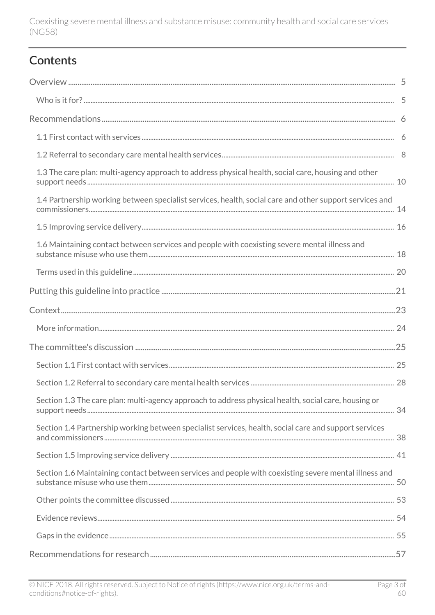## **Contents**

| 1.3 The care plan: multi-agency approach to address physical health, social care, housing and other     |  |
|---------------------------------------------------------------------------------------------------------|--|
| 1.4 Partnership working between specialist services, health, social care and other support services and |  |
|                                                                                                         |  |
| 1.6 Maintaining contact between services and people with coexisting severe mental illness and           |  |
|                                                                                                         |  |
|                                                                                                         |  |
|                                                                                                         |  |
|                                                                                                         |  |
|                                                                                                         |  |
|                                                                                                         |  |
|                                                                                                         |  |
| Section 1.3 The care plan: multi-agency approach to address physical health, social care, housing or    |  |
| Section 1.4 Partnership working between specialist services, health, social care and support services   |  |
|                                                                                                         |  |
| Section 1.6 Maintaining contact between services and people with coexisting severe mental illness and   |  |
|                                                                                                         |  |
|                                                                                                         |  |
|                                                                                                         |  |
|                                                                                                         |  |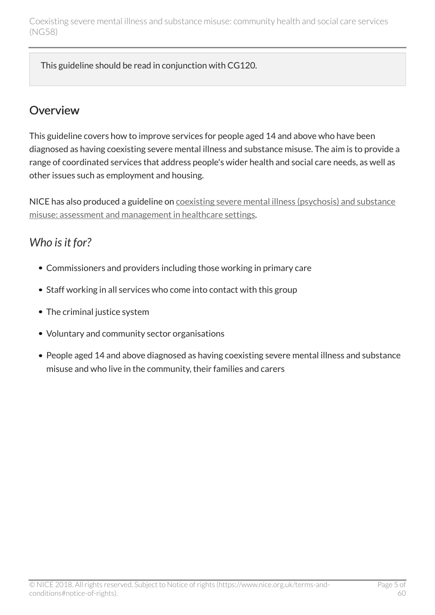This guideline should be read in conjunction with CG120.

### <span id="page-4-0"></span>**Overview**

This guideline covers how to improve services for people aged 14 and above who have been diagnosed as having coexisting severe mental illness and substance misuse. The aim is to provide a range of coordinated services that address people's wider health and social care needs, as well as other issues such as employment and housing.

NICE has also produced a guideline on [coexisting severe mental illness \(psychosis\) and substance](http://www.nice.org.uk/guidance/cg120) [misuse: assessment and management in healthcare settings.](http://www.nice.org.uk/guidance/cg120)

## <span id="page-4-1"></span>*Who is it for?*

- Commissioners and providers including those working in primary care
- Staff working in all services who come into contact with this group
- The criminal justice system
- Voluntary and community sector organisations
- People aged 14 and above diagnosed as having coexisting severe mental illness and substance misuse and who live in the community, their families and carers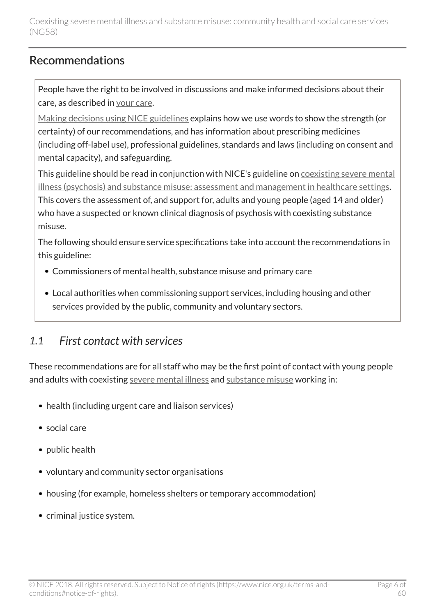## <span id="page-5-0"></span>Recommendations

People have the right to be involved in discussions and make informed decisions about their care, as described in [your care](http://www.nice.org.uk/about/nice-communities/public-involvement/your-care).

[Making decisions using NICE guidelines](http://www.nice.org.uk/about/what-we-do/our-programmes/nice-guidance/nice-guidelines/making-decisions-using-nice-guidelines) explains how we use words to show the strength (or certainty) of our recommendations, and has information about prescribing medicines (including off-label use), professional guidelines, standards and laws (including on consent and mental capacity), and safeguarding.

This guideline should be read in conjunction with NICE's guideline on [coexisting severe mental](http://www.nice.org.uk/guidance/cg120) [illness \(psychosis\) and substance misuse: assessment and management in healthcare settings.](http://www.nice.org.uk/guidance/cg120) This covers the assessment of, and support for, adults and young people (aged 14 and older) who have a suspected or known clinical diagnosis of psychosis with coexisting substance misuse.

The following should ensure service specifications take into account the recommendations in this guideline:

- Commissioners of mental health, substance misuse and primary care
- Local authorities when commissioning support services, including housing and other services provided by the public, community and voluntary sectors.

## <span id="page-5-1"></span>*1.1 First contact with services*

These recommendations are for all staff who may be the first point of contact with young people and adults with coexisting [severe mental illness](http://live-publications.nice.org.uk/recommendations#severe-mental-illness) and [substance misuse](http://live-publications.nice.org.uk/recommendations#substance-misuse) working in:

- health (including urgent care and liaison services)
- social care
- public health
- voluntary and community sector organisations
- housing (for example, homeless shelters or temporary accommodation)
- criminal justice system.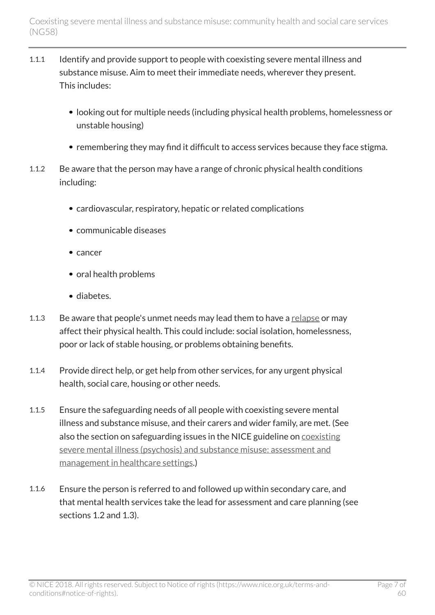- 1.1.1 Identify and provide support to people with coexisting severe mental illness and substance misuse. Aim to meet their immediate needs, wherever they present. This includes:
	- looking out for multiple needs (including physical health problems, homelessness or unstable housing)
	- remembering they may find it difficult to access services because they face stigma.
- 1.1.2 Be aware that the person may have a range of chronic physical health conditions including:
	- cardiovascular, respiratory, hepatic or related complications
	- communicable diseases
	- cancer
	- oral health problems
	- diabetes.
- 1.1.3 Be aware that people's unmet needs may lead them to have a [relapse](http://live-publications.nice.org.uk/recommendations#relapse) or may affect their physical health. This could include: social isolation, homelessness, poor or lack of stable housing, or problems obtaining benefits.
- 1.1.4 Provide direct help, or get help from other services, for any urgent physical health, social care, housing or other needs.
- 1.1.5 Ensure the safeguarding needs of all people with coexisting severe mental illness and substance misuse, and their carers and wider family, are met. (See also the section on safeguarding issues in the NICE guideline on [coexisting](http://www.nice.org.uk/guidance/cg120) [severe mental illness \(psychosis\) and substance misuse: assessment and](http://www.nice.org.uk/guidance/cg120) [management in healthcare settings.](http://www.nice.org.uk/guidance/cg120))
- 1.1.6 Ensure the person is referred to and followed up within secondary care, and that mental health services take the lead for assessment and care planning (see sections 1.2 and 1.3).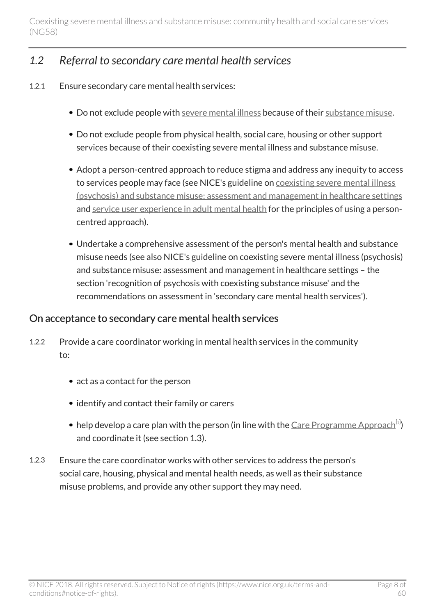## <span id="page-7-0"></span>*1.2 Referral to secondary care mental health services*

- 1.2.1 Ensure secondary care mental health services:
	- Do not exclude people with [severe mental illness](http://live-publications.nice.org.uk/recommendations#severe-mental-illness) because of their [substance misuse.](http://live-publications.nice.org.uk/recommendations#substance-misuse)
	- Do not exclude people from physical health, social care, housing or other support services because of their coexisting severe mental illness and substance misuse.
	- Adopt a person-centred approach to reduce stigma and address any inequity to access to services people may face (see NICE's guideline on [coexisting severe mental illness](http://www.nice.org.uk/guidance/cg120) [\(psychosis\) and substance misuse: assessment and management in healthcare settings](http://www.nice.org.uk/guidance/cg120) and [service user experience in adult mental health](http://www.nice.org.uk/guidance/cg136) for the principles of using a personcentred approach).
	- Undertake a comprehensive assessment of the person's mental health and substance misuse needs (see also NICE's guideline on coexisting severe mental illness (psychosis) and substance misuse: assessment and management in healthcare settings – the section 'recognition of psychosis with coexisting substance misuse' and the recommendations on assessment in 'secondary care mental health services').

#### On acceptance to secondary care mental health services

- 1.2.2 Provide a care coordinator working in mental health services in the community to:
	- act as a contact for the person
	- identify and contact their family or carers
	- help develop a care plan with the person (in line with the <u>[Care Programme Approach](http://webarchive.nationalarchives.gov.uk/20130107105354/http:/www.dh.gov.uk/en/Publicationsandstatistics/Publications/PublicationsPolicyAndGuidance/DH_083647)<sup>[[1](#page-19-1)]</sup>)</u> and coordinate it (see section 1.3).
- <span id="page-7-1"></span>1.2.3 Ensure the care coordinator works with other services to address the person's social care, housing, physical and mental health needs, as well as their substance misuse problems, and provide any other support they may need.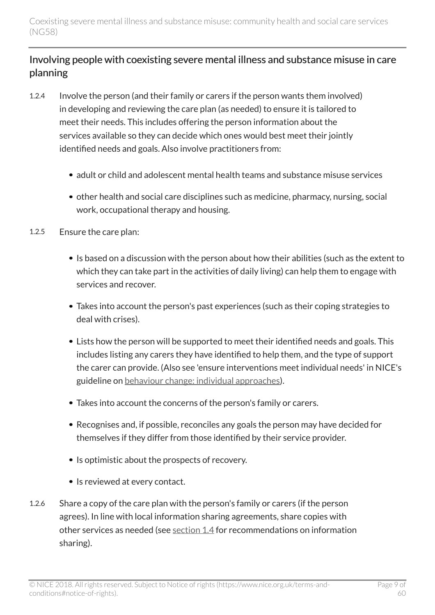#### Involving people with coexisting severe mental illness and substance misuse in care planning

- 1.2.4 Involve the person (and their family or carers if the person wants them involved) in developing and reviewing the care plan (as needed) to ensure it is tailored to meet their needs. This includes offering the person information about the services available so they can decide which ones would best meet their jointly identified needs and goals. Also involve practitioners from:
	- adult or child and adolescent mental health teams and substance misuse services
	- other health and social care disciplines such as medicine, pharmacy, nursing, social work, occupational therapy and housing.
- 1.2.5 Ensure the care plan:
	- Is based on a discussion with the person about how their abilities (such as the extent to which they can take part in the activities of daily living) can help them to engage with services and recover.
	- Takes into account the person's past experiences (such as their coping strategies to deal with crises).
	- Lists how the person will be supported to meet their identified needs and goals. This includes listing any carers they have identified to help them, and the type of support the carer can provide. (Also see 'ensure interventions meet individual needs' in NICE's guideline on [behaviour change: individual approaches\)](http://www.nice.org.uk/guidance/ph49).
	- Takes into account the concerns of the person's family or carers.
	- Recognises and, if possible, reconciles any goals the person may have decided for themselves if they differ from those identified by their service provider.
	- Is optimistic about the prospects of recovery.
	- Is reviewed at every contact.
- 1.2.6 Share a copy of the care plan with the person's family or carers (if the person agrees). In line with local information sharing agreements, share copies with other services as needed (see [section 1.4](http://live-publications.nice.org.uk/recommendations#partnership-working-between-specialist-services-health-social-care-and-other-support-services-and) for recommendations on information sharing).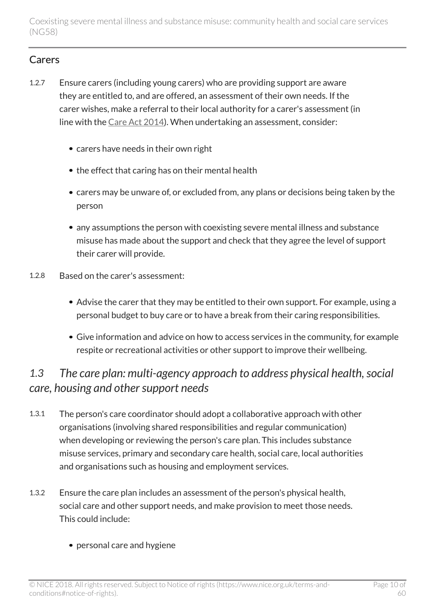#### **Carers**

- 1.2.7 Ensure carers (including young carers) who are providing support are aware they are entitled to, and are offered, an assessment of their own needs. If the carer wishes, make a referral to their local authority for a carer's assessment (in line with the [Care Act 2014](http://www.legislation.gov.uk/ukpga/2014/23/contents/enacted)). When undertaking an assessment, consider:
	- carers have needs in their own right
	- the effect that caring has on their mental health
	- carers may be unware of, or excluded from, any plans or decisions being taken by the person
	- any assumptions the person with coexisting severe mental illness and substance misuse has made about the support and check that they agree the level of support their carer will provide.
- 1.2.8 Based on the carer's assessment:
	- Advise the carer that they may be entitled to their own support. For example, using a personal budget to buy care or to have a break from their caring responsibilities.
	- Give information and advice on how to access services in the community, for example respite or recreational activities or other support to improve their wellbeing.

## <span id="page-9-0"></span>*1.3 The care plan: multi-agency approach to address physical health, social care, housing and other support needs*

- 1.3.1 The person's care coordinator should adopt a collaborative approach with other organisations (involving shared responsibilities and regular communication) when developing or reviewing the person's care plan. This includes substance misuse services, primary and secondary care health, social care, local authorities and organisations such as housing and employment services.
- 1.3.2 Ensure the care plan includes an assessment of the person's physical health, social care and other support needs, and make provision to meet those needs. This could include:
	- personal care and hygiene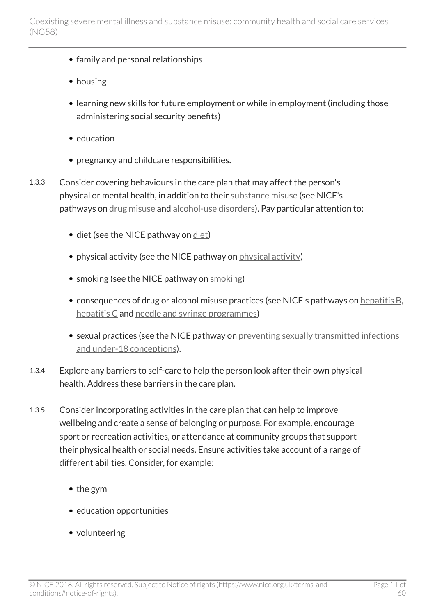- family and personal relationships
- housing
- learning new skills for future employment or while in employment (including those administering social security benefits)
- education
- pregnancy and childcare responsibilities.
- 1.3.3 Consider covering behaviours in the care plan that may affect the person's physical or mental health, in addition to their [substance misuse](http://live-publications.nice.org.uk/recommendations#substance-misuse) (see NICE's pathways on [drug misuse](http://pathways.nice.org.uk/pathways/drug-misuse) and [alcohol-use disorders\)](http://pathways.nice.org.uk/pathways/alcohol-use-disorders). Pay particular attention to:
	- diet (see the NICE pathway on [diet\)](http://pathways.nice.org.uk/pathways/diet)
	- physical activity (see the NICE pathway on [physical activity\)](http://pathways.nice.org.uk/pathways/physical-activity)
	- [smoking](http://pathways.nice.org.uk/pathways/smoking) (see the NICE pathway on smoking)
	- consequences of drug or alcohol misuse practices (see NICE's pathways on [hepatitis B](https://pathways.nice.org.uk/pathways/hepatitis-b-chronic#path=view%3A/pathways/hepatitis-b-chronic/assessment-and-referral-of-people-with-chronic-hepatitis-b-in-primary-care.xml&content=view-index), [hepatitis C](http://pathways.nice.org.uk/pathways/hepatitis-b-and-c-testing) and [needle and syringe programmes](http://pathways.nice.org.uk/pathways/needle-and-syringe-programmes))
	- sexual practices (see the NICE pathway on [preventing sexually transmitted infections](http://pathways.nice.org.uk/pathways/preventing-sexually-transmitted-infections-and-under-18-conceptions) [and under-18 conceptions\)](http://pathways.nice.org.uk/pathways/preventing-sexually-transmitted-infections-and-under-18-conceptions).
- 1.3.4 Explore any barriers to self-care to help the person look after their own physical health. Address these barriers in the care plan.
- 1.3.5 Consider incorporating activities in the care plan that can help to improve wellbeing and create a sense of belonging or purpose. For example, encourage sport or recreation activities, or attendance at community groups that support their physical health or social needs. Ensure activities take account of a range of different abilities. Consider, for example:
	- the gym
	- education opportunities
	- volunteering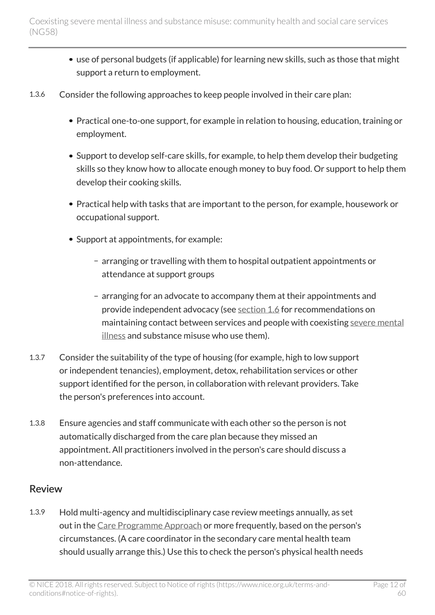- use of personal budgets (if applicable) for learning new skills, such as those that might support a return to employment.
- 1.3.6 Consider the following approaches to keep people involved in their care plan:
	- Practical one-to-one support, for example in relation to housing, education, training or employment.
	- Support to develop self-care skills, for example, to help them develop their budgeting skills so they know how to allocate enough money to buy food. Or support to help them develop their cooking skills.
	- Practical help with tasks that are important to the person, for example, housework or occupational support.
	- Support at appointments, for example:
		- arranging or travelling with them to hospital outpatient appointments or attendance at support groups
		- arranging for an advocate to accompany them at their appointments and provide independent advocacy (see [section 1.6](http://live-publications.nice.org.uk/recommendations#maintaining-contact-between-services-and-people-with-coexisting-severe-mental-illness-and-substance) for recommendations on maintaining contact between services and people with coexisting [severe mental](http://live-publications.nice.org.uk/recommendations#severe-mental-illness) [illness](http://live-publications.nice.org.uk/recommendations#severe-mental-illness) and substance misuse who use them).
- 1.3.7 Consider the suitability of the type of housing (for example, high to low support or independent tenancies), employment, detox, rehabilitation services or other support identified for the person, in collaboration with relevant providers. Take the person's preferences into account.
- 1.3.8 Ensure agencies and staff communicate with each other so the person is not automatically discharged from the care plan because they missed an appointment. All practitioners involved in the person's care should discuss a non-attendance.

#### Review

1.3.9 Hold multi-agency and multidisciplinary case review meetings annually, as set out in the [Care Programme Approach](http://webarchive.nationalarchives.gov.uk/20130107105354/http:/www.dh.gov.uk/en/Publicationsandstatistics/Publications/PublicationsPolicyAndGuidance/DH_083647) or more frequently, based on the person's circumstances. (A care coordinator in the secondary care mental health team should usually arrange this.) Use this to check the person's physical health needs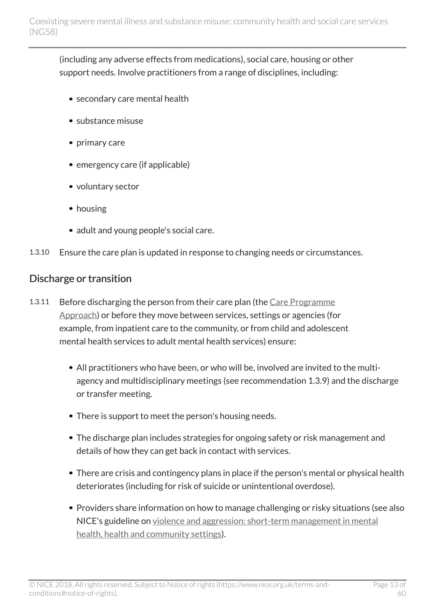(including any adverse effects from medications), social care, housing or other support needs. Involve practitioners from a range of disciplines, including:

- secondary care mental health
- substance misuse
- primary care
- emergency care (if applicable)
- voluntary sector
- housing
- adult and young people's social care.
- 1.3.10 Ensure the care plan is updated in response to changing needs or circumstances.

#### Discharge or transition

- 1.3.11 Before discharging the person from their care plan (the [Care Programme](http://webarchive.nationalarchives.gov.uk/20130107105354/http:/www.dh.gov.uk/en/Publicationsandstatistics/Publications/PublicationsPolicyAndGuidance/DH_083647) [Approach\)](http://webarchive.nationalarchives.gov.uk/20130107105354/http:/www.dh.gov.uk/en/Publicationsandstatistics/Publications/PublicationsPolicyAndGuidance/DH_083647) or before they move between services, settings or agencies (for example, from inpatient care to the community, or from child and adolescent mental health services to adult mental health services) ensure:
	- All practitioners who have been, or who will be, involved are invited to the multiagency and multidisciplinary meetings (see recommendation 1.3.9) and the discharge or transfer meeting.
	- There is support to meet the person's housing needs.
	- The discharge plan includes strategies for ongoing safety or risk management and details of how they can get back in contact with services.
	- There are crisis and contingency plans in place if the person's mental or physical health deteriorates (including for risk of suicide or unintentional overdose).
	- Providers share information on how to manage challenging or risky situations (see also NICE's guideline on [violence and aggression: short-term management in mental](http://www.nice.org.uk/guidance/ng10) [health, health and community settings\)](http://www.nice.org.uk/guidance/ng10).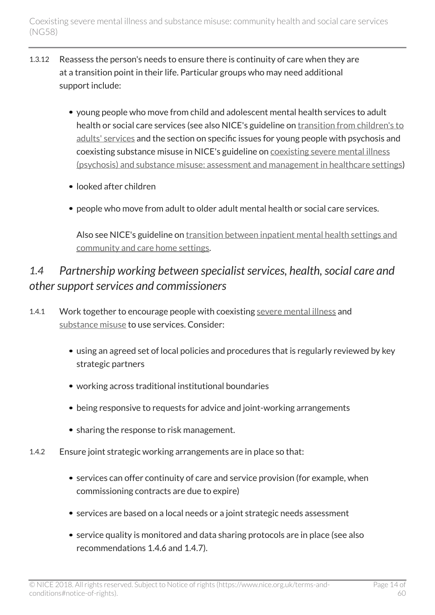- 1.3.12 Reassess the person's needs to ensure there is continuity of care when they are at a transition point in their life. Particular groups who may need additional support include:
	- young people who move from child and adolescent mental health services to adult health or social care services (see also NICE's guideline on [transition from children's to](http://www.nice.org.uk/guidance/ng43) [adults' services](http://www.nice.org.uk/guidance/ng43) and the section on specific issues for young people with psychosis and coexisting substance misuse in NICE's guideline on [coexisting severe mental illness](http://www.nice.org.uk/guidance/cg120) [\(psychosis\) and substance misuse: assessment and management in healthcare settings](http://www.nice.org.uk/guidance/cg120))
	- looked after children
	- people who move from adult to older adult mental health or social care services.

Also see NICE's guideline on [transition between inpatient mental health settings and](http://www.nice.org.uk/guidance/ng53) [community and care home settings](http://www.nice.org.uk/guidance/ng53).

## <span id="page-13-0"></span>*1.4 Partnership working between specialist services, health, social care and other support services and commissioners*

- 1.4.1 Work together to encourage people with coexisting [severe mental illness](http://live-publications.nice.org.uk/recommendations#severe-mental-illness) and [substance misuse](http://live-publications.nice.org.uk/recommendations#substance-misuse) to use services. Consider:
	- using an agreed set of local policies and procedures that is regularly reviewed by key strategic partners
	- working across traditional institutional boundaries
	- being responsive to requests for advice and joint-working arrangements
	- sharing the response to risk management.
- 1.4.2 Ensure joint strategic working arrangements are in place so that:
	- services can offer continuity of care and service provision (for example, when commissioning contracts are due to expire)
	- services are based on a local needs or a joint strategic needs assessment
	- service quality is monitored and data sharing protocols are in place (see also recommendations 1.4.6 and 1.4.7).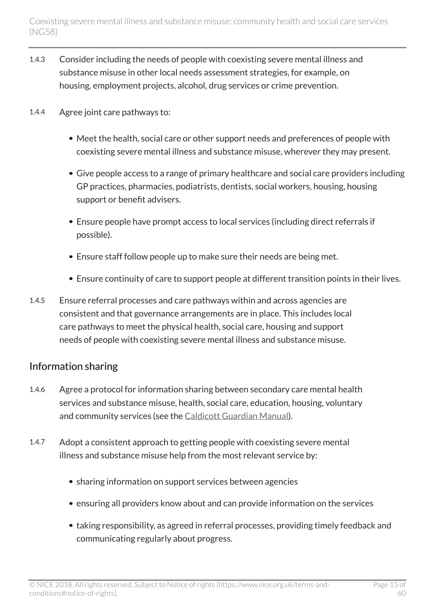- 1.4.3 Consider including the needs of people with coexisting severe mental illness and substance misuse in other local needs assessment strategies, for example, on housing, employment projects, alcohol, drug services or crime prevention.
- 1.4.4 Agree joint care pathways to:
	- Meet the health, social care or other support needs and preferences of people with coexisting severe mental illness and substance misuse, wherever they may present.
	- Give people access to a range of primary healthcare and social care providers including GP practices, pharmacies, podiatrists, dentists, social workers, housing, housing support or benefit advisers.
	- Ensure people have prompt access to local services (including direct referrals if possible).
	- Ensure staff follow people up to make sure their needs are being met.
	- Ensure continuity of care to support people at different transition points in their lives.
- 1.4.5 Ensure referral processes and care pathways within and across agencies are consistent and that governance arrangements are in place. This includes local care pathways to meet the physical health, social care, housing and support needs of people with coexisting severe mental illness and substance misuse.

#### Information sharing

- 1.4.6 Agree a protocol for information sharing between secondary care mental health services and substance misuse, health, social care, education, housing, voluntary and community services (see the [Caldicott Guardian Manual](http://systems.digital.nhs.uk/data/ods/searchtools/caldicott)).
- 1.4.7 Adopt a consistent approach to getting people with coexisting severe mental illness and substance misuse help from the most relevant service by:
	- sharing information on support services between agencies
	- ensuring all providers know about and can provide information on the services
	- taking responsibility, as agreed in referral processes, providing timely feedback and communicating regularly about progress.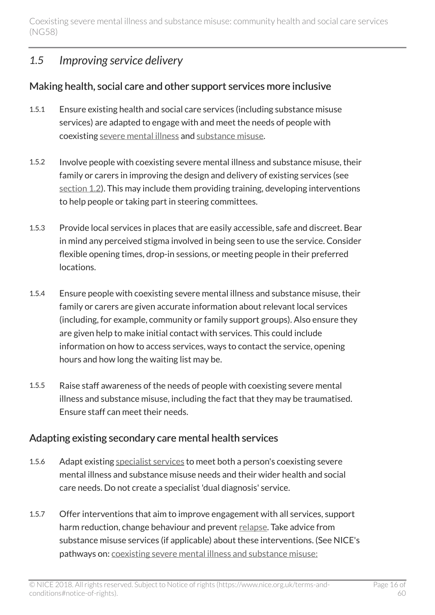### <span id="page-15-0"></span>*1.5 Improving service delivery*

#### Making health, social care and other support services more inclusive

- 1.5.1 Ensure existing health and social care services (including substance misuse services) are adapted to engage with and meet the needs of people with coexisting [severe mental illness](http://live-publications.nice.org.uk/recommendations#severe-mental-illness) and [substance misuse](http://live-publications.nice.org.uk/recommendations#substance-misuse).
- 1.5.2 Involve people with coexisting severe mental illness and substance misuse, their family or carers in improving the design and delivery of existing services (see [section 1.2](http://live-publications.nice.org.uk/recommendations#referral-to-secondary-care-mental-health-services)). This may include them providing training, developing interventions to help people or taking part in steering committees.
- 1.5.3 Provide local services in places that are easily accessible, safe and discreet. Bear in mind any perceived stigma involved in being seen to use the service. Consider flexible opening times, drop-in sessions, or meeting people in their preferred locations.
- 1.5.4 Ensure people with coexisting severe mental illness and substance misuse, their family or carers are given accurate information about relevant local services (including, for example, community or family support groups). Also ensure they are given help to make initial contact with services. This could include information on how to access services, ways to contact the service, opening hours and how long the waiting list may be.
- 1.5.5 Raise staff awareness of the needs of people with coexisting severe mental illness and substance misuse, including the fact that they may be traumatised. Ensure staff can meet their needs.

#### Adapting existing secondary care mental health services

- 1.5.6 Adapt existing [specialist services](http://live-publications.nice.org.uk/recommendations#specialist-services) to meet both a person's coexisting severe mental illness and substance misuse needs and their wider health and social care needs. Do not create a specialist 'dual diagnosis' service.
- 1.5.7 Offer interventions that aim to improve engagement with all services, support harm reduction, change behaviour and prevent [relapse](http://live-publications.nice.org.uk/recommendations#relapse). Take advice from substance misuse services (if applicable) about these interventions. (See NICE's pathways on: [coexisting severe mental illness and substance misuse:](http://pathways.nice.org.uk/pathways/coexisting-severe-mental-illness-and-substance-misuse-assessment-and-management-in-healthcare-settings)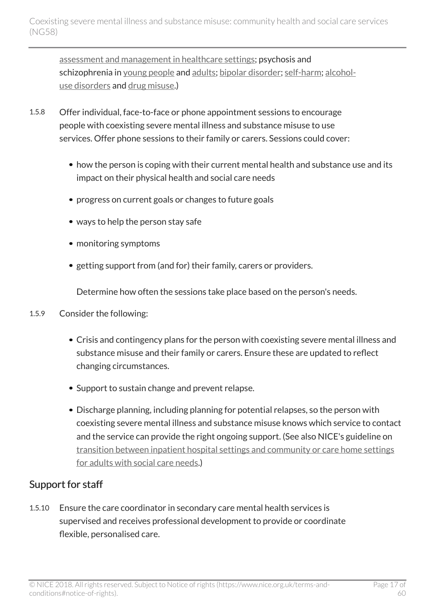[assessment and management in healthcare settings;](http://pathways.nice.org.uk/pathways/coexisting-severe-mental-illness-and-substance-misuse-assessment-and-management-in-healthcare-settings) psychosis and schizophrenia in [young people](http://pathways.nice.org.uk/pathways/psychosis-and-schizophrenia#path=view%3A/pathways/psychosis-and-schizophrenia/psychosis-and-schizophrenia-in-children-and-young-people.xml&content=view-index) and [adults;](http://pathways.nice.org.uk/pathways/psychosis-and-schizophrenia#path=view%3A/pathways/psychosis-and-schizophrenia/psychosis-and-schizophrenia-in-adults.xml) [bipolar disorder](http://pathways.nice.org.uk/pathways/bipolar-disorder); [self-harm;](https://pathways.nice.org.uk/pathways/self-harm) [alcohol](http://pathways.nice.org.uk/pathways/alcohol-use-disorders)[use disorders](http://pathways.nice.org.uk/pathways/alcohol-use-disorders) and [drug misuse](http://pathways.nice.org.uk/pathways/drug-misuse).)

- 1.5.8 Offer individual, face-to-face or phone appointment sessions to encourage people with coexisting severe mental illness and substance misuse to use services. Offer phone sessions to their family or carers. Sessions could cover:
	- how the person is coping with their current mental health and substance use and its impact on their physical health and social care needs
	- progress on current goals or changes to future goals
	- ways to help the person stay safe
	- monitoring symptoms
	- getting support from (and for) their family, carers or providers.

Determine how often the sessions take place based on the person's needs.

- 1.5.9 Consider the following:
	- Crisis and contingency plans for the person with coexisting severe mental illness and substance misuse and their family or carers. Ensure these are updated to reflect changing circumstances.
	- Support to sustain change and prevent relapse.
	- Discharge planning, including planning for potential relapses, so the person with coexisting severe mental illness and substance misuse knows which service to contact and the service can provide the right ongoing support. (See also NICE's guideline on [transition between inpatient hospital settings and community or care home settings](http://www.nice.org.uk/guidance/ng27) [for adults with social care needs](http://www.nice.org.uk/guidance/ng27).)

#### Support for staff

1.5.10 Ensure the care coordinator in secondary care mental health services is supervised and receives professional development to provide or coordinate flexible, personalised care.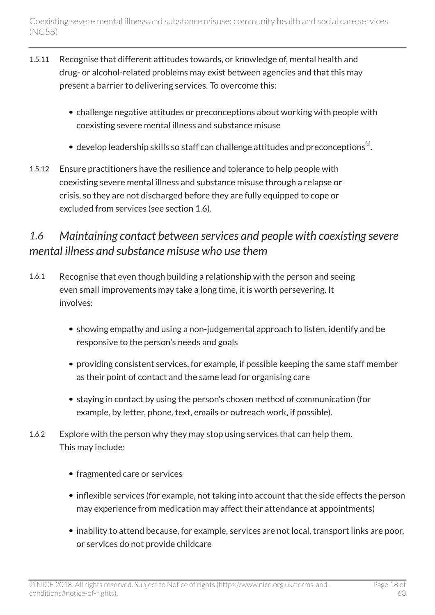- 1.5.11 Recognise that different attitudes towards, or knowledge of, mental health and drug- or alcohol-related problems may exist between agencies and that this may present a barrier to delivering services. To overcome this:
	- challenge negative attitudes or preconceptions about working with people with coexisting severe mental illness and substance misuse
	- develop leadership skills so staff can challenge attitudes and preconceptions $^{\lbrack 2\rbrack}$  $^{\lbrack 2\rbrack}$  $^{\lbrack 2\rbrack}$ .
- <span id="page-17-1"></span>1.5.12 Ensure practitioners have the resilience and tolerance to help people with coexisting severe mental illness and substance misuse through a relapse or crisis, so they are not discharged before they are fully equipped to cope or excluded from services (see section 1.6).

## <span id="page-17-0"></span>*1.6 Maintaining contact between services and people with coexisting severe mental illness and substance misuse who use them*

- 1.6.1 Recognise that even though building a relationship with the person and seeing even small improvements may take a long time, it is worth persevering. It involves:
	- showing empathy and using a non-judgemental approach to listen, identify and be responsive to the person's needs and goals
	- providing consistent services, for example, if possible keeping the same staff member as their point of contact and the same lead for organising care
	- staying in contact by using the person's chosen method of communication (for example, by letter, phone, text, emails or outreach work, if possible).
- 1.6.2 Explore with the person why they may stop using services that can help them. This may include:
	- fragmented care or services
	- inflexible services (for example, not taking into account that the side effects the person may experience from medication may affect their attendance at appointments)
	- inability to attend because, for example, services are not local, transport links are poor, or services do not provide childcare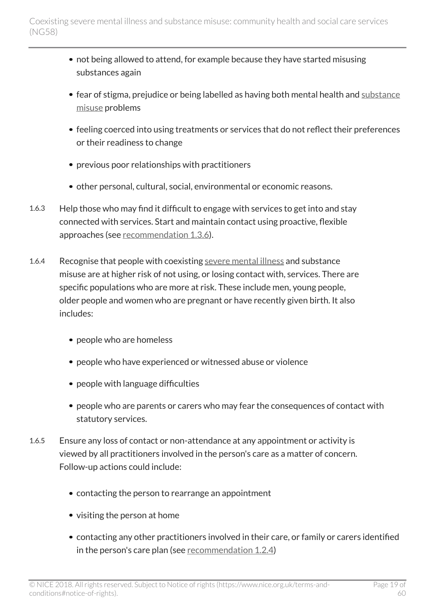- not being allowed to attend, for example because they have started misusing substances again
- fear of stigma, prejudice or being labelled as having both mental health and [substance](http://live-publications.nice.org.uk/recommendations#substance-misuse) [misuse](http://live-publications.nice.org.uk/recommendations#substance-misuse) problems
- feeling coerced into using treatments or services that do not reflect their preferences or their readiness to change
- previous poor relationships with practitioners
- other personal, cultural, social, environmental or economic reasons.
- 1.6.3 Help those who may find it difficult to engage with services to get into and stay connected with services. Start and maintain contact using proactive, flexible approaches (see [recommendation 1.3.6\)](http://live-publications.nice.org.uk/recommendations#the-care-plan-multi-agency-approach-to-address-physical-health-social-care-housing-and-other).
- 1.6.4 Recognise that people with coexisting [severe mental illness](http://live-publications.nice.org.uk/recommendations#severe-mental-illness) and substance misuse are at higher risk of not using, or losing contact with, services. There are specific populations who are more at risk. These include men, young people, older people and women who are pregnant or have recently given birth. It also includes:
	- people who are homeless
	- people who have experienced or witnessed abuse or violence
	- people with language difficulties
	- people who are parents or carers who may fear the consequences of contact with statutory services.
- 1.6.5 Ensure any loss of contact or non-attendance at any appointment or activity is viewed by all practitioners involved in the person's care as a matter of concern. Follow-up actions could include:
	- contacting the person to rearrange an appointment
	- visiting the person at home
	- contacting any other practitioners involved in their care, or family or carers identified in the person's care plan (see [recommendation 1.2.4](http://live-publications.nice.org.uk/recommendations#involving-people-with-coexisting-severe-mental-illness-and-substance-misuse-in-care-planning))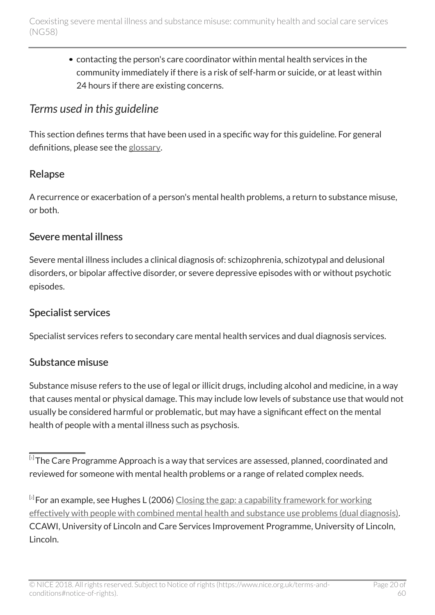contacting the person's care coordinator within mental health services in the community immediately if there is a risk of self-harm or suicide, or at least within 24 hours if there are existing concerns.

## <span id="page-19-0"></span>*Terms used in this guideline*

This section defines terms that have been used in a specific way for this guideline. For general definitions, please see the [glossary.](http://live-publications.nice.org.uk/glossary#glossary)

### Relapse

A recurrence or exacerbation of a person's mental health problems, a return to substance misuse, or both.

#### Severe mental illness

Severe mental illness includes a clinical diagnosis of: schizophrenia, schizotypal and delusional disorders, or bipolar affective disorder, or severe depressive episodes with or without psychotic episodes.

### Specialist services

Specialist services refers to secondary care mental health services and dual diagnosis services.

### Substance misuse

Substance misuse refers to the use of legal or illicit drugs, including alcohol and medicine, in a way that causes mental or physical damage. This may include low levels of substance use that would not usually be considered harmful or problematic, but may have a significant effect on the mental health of people with a mental illness such as psychosis.

<span id="page-19-1"></span> $^{\left[ \cdot\right] }$ The Care Programme Approach is a way that services are assessed, planned, coordinated and reviewed for someone with mental health problems or a range of related complex needs.

<span id="page-19-2"></span> $^{\left[ z\right] }$ For an example, see Hughes L ([2](#page-17-1)006) <u>[Closing the gap: a capability framework for working](http://dual-diagnosis.org.uk/?page_id=34)</u> [effectively with people with combined mental health and substance use problems \(dual diagnosis\).](http://dual-diagnosis.org.uk/?page_id=34) CCAWI, University of Lincoln and Care Services Improvement Programme, University of Lincoln, Lincoln.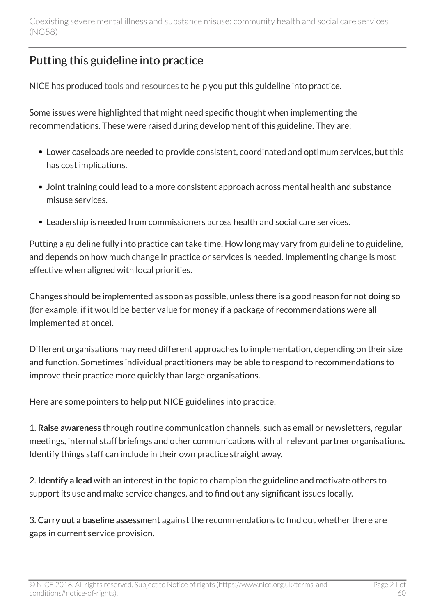## <span id="page-20-0"></span>Putting this guideline into practice

NICE has produced [tools and resources](http://www.nice.org.uk/guidance/ng58/resources) to help you put this guideline into practice.

Some issues were highlighted that might need specific thought when implementing the recommendations. These were raised during development of this guideline. They are:

- Lower caseloads are needed to provide consistent, coordinated and optimum services, but this has cost implications.
- Joint training could lead to a more consistent approach across mental health and substance misuse services.
- Leadership is needed from commissioners across health and social care services.

Putting a guideline fully into practice can take time. How long may vary from guideline to guideline, and depends on how much change in practice or services is needed. Implementing change is most effective when aligned with local priorities.

Changes should be implemented as soon as possible, unless there is a good reason for not doing so (for example, if it would be better value for money if a package of recommendations were all implemented at once).

Different organisations may need different approaches to implementation, depending on their size and function. Sometimes individual practitioners may be able to respond to recommendations to improve their practice more quickly than large organisations.

Here are some pointers to help put NICE guidelines into practice:

1. Raise awareness through routine communication channels, such as email or newsletters, regular meetings, internal staff briefings and other communications with all relevant partner organisations. Identify things staff can include in their own practice straight away.

2. Identify a lead with an interest in the topic to champion the guideline and motivate others to support its use and make service changes, and to find out any significant issues locally.

3. Carry out a baseline assessment against the recommendations to find out whether there are gaps in current service provision.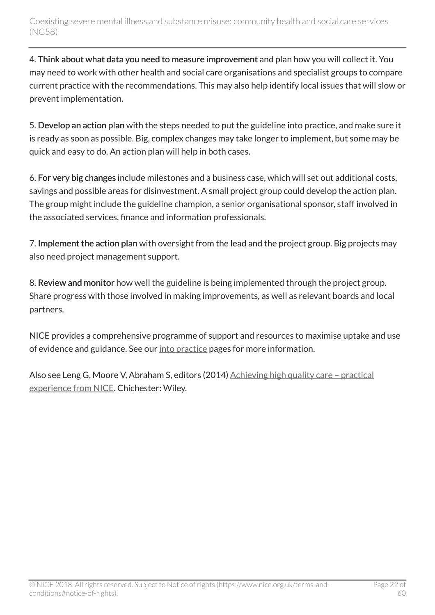4. Think about what data you need to measure improvement and plan how you will collect it. You may need to work with other health and social care organisations and specialist groups to compare current practice with the recommendations. This may also help identify local issues that will slow or prevent implementation.

5. Develop an action plan with the steps needed to put the guideline into practice, and make sure it is ready as soon as possible. Big, complex changes may take longer to implement, but some may be quick and easy to do. An action plan will help in both cases.

6. For very big changes include milestones and a business case, which will set out additional costs, savings and possible areas for disinvestment. A small project group could develop the action plan. The group might include the guideline champion, a senior organisational sponsor, staff involved in the associated services, finance and information professionals.

7. Implement the action plan with oversight from the lead and the project group. Big projects may also need project management support.

8. Review and monitor how well the guideline is being implemented through the project group. Share progress with those involved in making improvements, as well as relevant boards and local partners.

NICE provides a comprehensive programme of support and resources to maximise uptake and use of evidence and guidance. See our [into practice](https://www.nice.org.uk/about/what-we-do/into-practice) pages for more information.

Also see Leng G, Moore V, Abraham S, editors (2014) Achieving high quality care - practical [experience from NICE.](http://onlinelibrary.wiley.com/doi/10.1002/9781118543412.ch2/summary) Chichester: Wiley.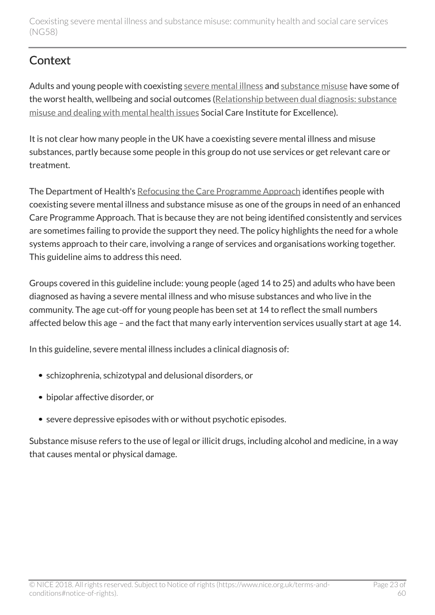## <span id="page-22-0"></span>**Context**

Adults and young people with coexisting [severe mental illness](http://live-publications.nice.org.uk/recommendations#severe-mental-illness) and [substance misuse](http://live-publications.nice.org.uk/recommendations#substance-misuse) have some of the worst health, wellbeing and social outcomes ([Relationship between dual diagnosis: substance](http://www.scie.org.uk/publications/briefings/briefing30/) [misuse and dealing with mental health issues](http://www.scie.org.uk/publications/briefings/briefing30/) Social Care Institute for Excellence).

It is not clear how many people in the UK have a coexisting severe mental illness and misuse substances, partly because some people in this group do not use services or get relevant care or treatment.

The Department of Health's [Refocusing the Care Programme Approach](http://webarchive.nationalarchives.gov.uk/20130107105354/http:/www.dh.gov.uk/en/Publicationsandstatistics/Publications/PublicationsPolicyAndGuidance/DH_083647) identifies people with coexisting severe mental illness and substance misuse as one of the groups in need of an enhanced Care Programme Approach. That is because they are not being identified consistently and services are sometimes failing to provide the support they need. The policy highlights the need for a whole systems approach to their care, involving a range of services and organisations working together. This guideline aims to address this need.

Groups covered in this guideline include: young people (aged 14 to 25) and adults who have been diagnosed as having a severe mental illness and who misuse substances and who live in the community. The age cut-off for young people has been set at 14 to reflect the small numbers affected below this age – and the fact that many early intervention services usually start at age 14.

In this guideline, severe mental illness includes a clinical diagnosis of:

- schizophrenia, schizotypal and delusional disorders, or
- bipolar affective disorder, or
- severe depressive episodes with or without psychotic episodes.

Substance misuse refers to the use of legal or illicit drugs, including alcohol and medicine, in a way that causes mental or physical damage.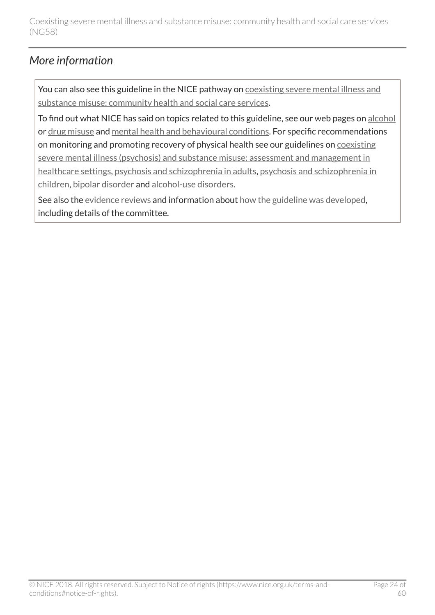## <span id="page-23-0"></span>*More information*

You can also see this guideline in the NICE pathway on [coexisting severe mental illness and](http://pathways.nice.org.uk/pathways/coexisting-severe-mental-illness-and-substance-misuse-community-health-and-social-care-services) [substance misuse: community health and social care services](http://pathways.nice.org.uk/pathways/coexisting-severe-mental-illness-and-substance-misuse-community-health-and-social-care-services).

To find out what NICE has said on topics related to this guideline, see our web pages on [alcohol](https://www.nice.org.uk/guidance/lifestyle-and-wellbeing/alcohol) or [drug misuse](https://www.nice.org.uk/guidance/settings/drug-misuse) and [mental health and behavioural conditions](https://www.nice.org.uk/guidance/conditions-and-diseases/mental-health-and-behavioural-conditions/mental-health-and-behavioural-conditions--general-and-other). For specific recommendations on monitoring and promoting recovery of physical health see our guidelines on [coexisting](http://www.nice.org.uk/guidance/cg120) [severe mental illness \(psychosis\) and substance misuse: assessment and management in](http://www.nice.org.uk/guidance/cg120) [healthcare settings,](http://www.nice.org.uk/guidance/cg120) [psychosis and schizophrenia in adults,](http://www.nice.org.uk/guidance/cg178) [psychosis and schizophrenia in](http://www.nice.org.uk/guidance/cg155) [children,](http://www.nice.org.uk/guidance/cg155) [bipolar disorder](https://www.nice.org.uk/guidance/cg185/chapter/1-Recommendations) and [alcohol-use disorders.](https://www.nice.org.uk/guidance/CG100/chapter/1-Guidance)

See also the [evidence reviews](http://www.nice.org.uk/Guidance/NG58/evidence) and information about [how the guideline was developed](http://www.nice.org.uk/Guidance/NG58/documents), including details of the committee.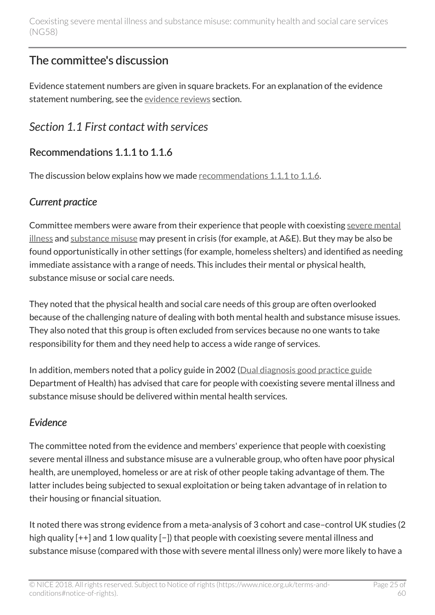## <span id="page-24-0"></span>The committee's discussion

Evidence statement numbers are given in square brackets. For an explanation of the evidence statement numbering, see the [evidence reviews](http://live-publications.nice.org.uk/the-committees-discussion#evidence-reviews) section.

## <span id="page-24-1"></span>*Section 1.1 First contact with services*

## Recommendations 1.1.1 to 1.1.6

The discussion below explains how we made [recommendations 1.1.1 to 1.1.6.](http://live-publications.nice.org.uk/recommendations#first-contact-with-services)

### *Current practice*

Committee members were aware from their experience that people with coexisting [severe mental](http://live-publications.nice.org.uk/recommendations#severe-mental-illness) [illness](http://live-publications.nice.org.uk/recommendations#severe-mental-illness) and [substance misuse](http://live-publications.nice.org.uk/recommendations#substance-misuse) may present in crisis (for example, at A&E). But they may be also be found opportunistically in other settings (for example, homeless shelters) and identified as needing immediate assistance with a range of needs. This includes their mental or physical health, substance misuse or social care needs.

They noted that the physical health and social care needs of this group are often overlooked because of the challenging nature of dealing with both mental health and substance misuse issues. They also noted that this group is often excluded from services because no one wants to take responsibility for them and they need help to access a wide range of services.

In addition, members noted that a policy guide in 2002 [\(Dual diagnosis good practice guide](http://webarchive.nationalarchives.gov.uk/20070403003936/http:/www.dh.gov.uk/en/Publicationsandstatistics/Publications/PublicationsPolicyAndGuidance/DH_4009058) Department of Health) has advised that care for people with coexisting severe mental illness and substance misuse should be delivered within mental health services.

### *Evidence*

The committee noted from the evidence and members' experience that people with coexisting severe mental illness and substance misuse are a vulnerable group, who often have poor physical health, are unemployed, homeless or are at risk of other people taking advantage of them. The latter includes being subjected to sexual exploitation or being taken advantage of in relation to their housing or financial situation.

It noted there was strong evidence from a meta-analysis of 3 cohort and case–control UK studies (2 high quality [++] and 1 low quality [−]) that people with coexisting severe mental illness and substance misuse (compared with those with severe mental illness only) were more likely to have a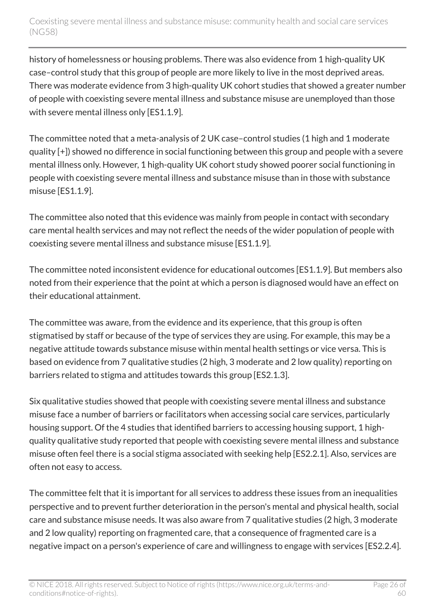history of homelessness or housing problems. There was also evidence from 1 high-quality UK case–control study that this group of people are more likely to live in the most deprived areas. There was moderate evidence from 3 high-quality UK cohort studies that showed a greater number of people with coexisting severe mental illness and substance misuse are unemployed than those with severe mental illness only [ES1.1.9].

The committee noted that a meta-analysis of 2 UK case–control studies (1 high and 1 moderate quality [+]) showed no difference in social functioning between this group and people with a severe mental illness only. However, 1 high-quality UK cohort study showed poorer social functioning in people with coexisting severe mental illness and substance misuse than in those with substance misuse [ES1.1.9].

The committee also noted that this evidence was mainly from people in contact with secondary care mental health services and may not reflect the needs of the wider population of people with coexisting severe mental illness and substance misuse [ES1.1.9].

The committee noted inconsistent evidence for educational outcomes [ES1.1.9]. But members also noted from their experience that the point at which a person is diagnosed would have an effect on their educational attainment.

The committee was aware, from the evidence and its experience, that this group is often stigmatised by staff or because of the type of services they are using. For example, this may be a negative attitude towards substance misuse within mental health settings or vice versa. This is based on evidence from 7 qualitative studies (2 high, 3 moderate and 2 low quality) reporting on barriers related to stigma and attitudes towards this group [ES2.1.3].

Six qualitative studies showed that people with coexisting severe mental illness and substance misuse face a number of barriers or facilitators when accessing social care services, particularly housing support. Of the 4 studies that identified barriers to accessing housing support, 1 highquality qualitative study reported that people with coexisting severe mental illness and substance misuse often feel there is a social stigma associated with seeking help [ES2.2.1]. Also, services are often not easy to access.

The committee felt that it is important for all services to address these issues from an inequalities perspective and to prevent further deterioration in the person's mental and physical health, social care and substance misuse needs. It was also aware from 7 qualitative studies (2 high, 3 moderate and 2 low quality) reporting on fragmented care, that a consequence of fragmented care is a negative impact on a person's experience of care and willingness to engage with services [ES2.2.4].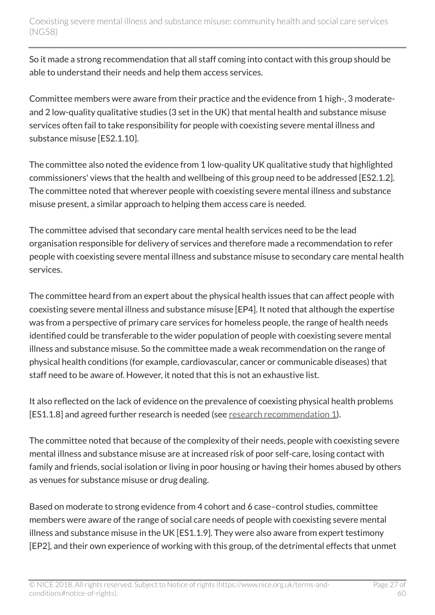So it made a strong recommendation that all staff coming into contact with this group should be able to understand their needs and help them access services.

Committee members were aware from their practice and the evidence from 1 high-, 3 moderateand 2 low-quality qualitative studies (3 set in the UK) that mental health and substance misuse services often fail to take responsibility for people with coexisting severe mental illness and substance misuse [ES2.1.10].

The committee also noted the evidence from 1 low-quality UK qualitative study that highlighted commissioners' views that the health and wellbeing of this group need to be addressed [ES2.1.2]. The committee noted that wherever people with coexisting severe mental illness and substance misuse present, a similar approach to helping them access care is needed.

The committee advised that secondary care mental health services need to be the lead organisation responsible for delivery of services and therefore made a recommendation to refer people with coexisting severe mental illness and substance misuse to secondary care mental health services.

The committee heard from an expert about the physical health issues that can affect people with coexisting severe mental illness and substance misuse [EP4]. It noted that although the expertise was from a perspective of primary care services for homeless people, the range of health needs identified could be transferable to the wider population of people with coexisting severe mental illness and substance misuse. So the committee made a weak recommendation on the range of physical health conditions (for example, cardiovascular, cancer or communicable diseases) that staff need to be aware of. However, it noted that this is not an exhaustive list.

It also reflected on the lack of evidence on the prevalence of coexisting physical health problems [ES1.1.8] and agreed further research is needed (see [research recommendation 1](http://live-publications.nice.org.uk/recommendations-for-research#1-needs-assessment)).

The committee noted that because of the complexity of their needs, people with coexisting severe mental illness and substance misuse are at increased risk of poor self-care, losing contact with family and friends, social isolation or living in poor housing or having their homes abused by others as venues for substance misuse or drug dealing.

Based on moderate to strong evidence from 4 cohort and 6 case–control studies, committee members were aware of the range of social care needs of people with coexisting severe mental illness and substance misuse in the UK [ES1.1.9]. They were also aware from expert testimony [EP2], and their own experience of working with this group, of the detrimental effects that unmet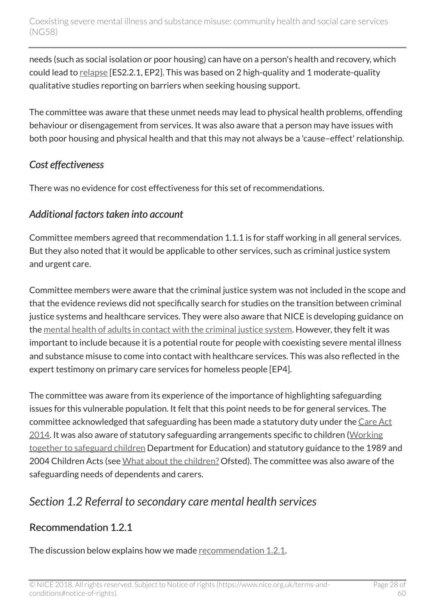needs (such as social isolation or poor housing) can have on a person's health and recovery, which could lead to [relapse](http://live-publications.nice.org.uk/recommendations#relapse) [ES2.2.1, EP2]. This was based on 2 high-quality and 1 moderate-quality qualitative studies reporting on barriers when seeking housing support.

The committee was aware that these unmet needs may lead to physical health problems, offending behaviour or disengagement from services. It was also aware that a person may have issues with both poor housing and physical health and that this may not always be a 'cause–effect' relationship.

#### *Cost effectiveness*

There was no evidence for cost effectiveness for this set of recommendations.

#### *Additional factors taken into account*

Committee members agreed that recommendation 1.1.1 is for staff working in all general services. But they also noted that it would be applicable to other services, such as criminal justice system and urgent care.

Committee members were aware that the criminal justice system was not included in the scope and that the evidence reviews did not specifically search for studies on the transition between criminal justice systems and healthcare services. They were also aware that NICE is developing guidance on the [mental health of adults in contact with the criminal justice system.](http://www.nice.org.uk/guidance/indevelopment/gid-cgwave0726) However, they felt it was important to include because it is a potential route for people with coexisting severe mental illness and substance misuse to come into contact with healthcare services. This was also reflected in the expert testimony on primary care services for homeless people [EP4].

The committee was aware from its experience of the importance of highlighting safeguarding issues for this vulnerable population. It felt that this point needs to be for general services. The committee acknowledged that safeguarding has been made a statutory duty under the [Care Act](http://www.legislation.gov.uk/ukpga/2014/23/contents/enacted) [2014.](http://www.legislation.gov.uk/ukpga/2014/23/contents/enacted) It was also aware of statutory safeguarding arrangements specific to children [\(Working](http://www.gov.uk/government/publications/working-together-to-safeguard-children--2) [together to safeguard children](http://www.gov.uk/government/publications/working-together-to-safeguard-children--2) Department for Education) and statutory guidance to the 1989 and 2004 Children Acts (see [What about the children?](http://www.gov.uk/government/publications/joint-working-between-adult-and-childrens-services) Ofsted). The committee was also aware of the safeguarding needs of dependents and carers.

## <span id="page-27-0"></span>*Section 1.2 Referral to secondary care mental health services*

#### Recommendation 1.2.1

The discussion below explains how we made [recommendation 1.2.1.](http://live-publications.nice.org.uk/recommendations#referral-to-secondary-care-mental-health-services)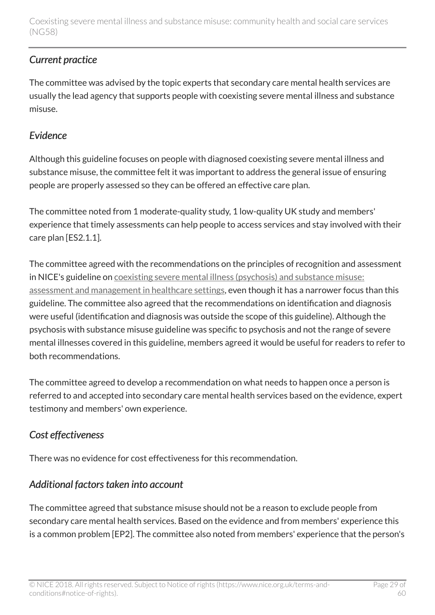### *Current practice*

The committee was advised by the topic experts that secondary care mental health services are usually the lead agency that supports people with coexisting severe mental illness and substance misuse.

#### *Evidence*

Although this guideline focuses on people with diagnosed coexisting severe mental illness and substance misuse, the committee felt it was important to address the general issue of ensuring people are properly assessed so they can be offered an effective care plan.

The committee noted from 1 moderate-quality study, 1 low-quality UK study and members' experience that timely assessments can help people to access services and stay involved with their care plan [ES2.1.1].

The committee agreed with the recommendations on the principles of recognition and assessment in NICE's guideline on [coexisting severe mental illness \(psychosis\) and substance misuse:](http://www.nice.org.uk/guidance/cg120) [assessment and management in healthcare settings](http://www.nice.org.uk/guidance/cg120), even though it has a narrower focus than this guideline. The committee also agreed that the recommendations on identification and diagnosis were useful (identification and diagnosis was outside the scope of this guideline). Although the psychosis with substance misuse guideline was specific to psychosis and not the range of severe mental illnesses covered in this guideline, members agreed it would be useful for readers to refer to both recommendations.

The committee agreed to develop a recommendation on what needs to happen once a person is referred to and accepted into secondary care mental health services based on the evidence, expert testimony and members' own experience.

## *Cost effectiveness*

There was no evidence for cost effectiveness for this recommendation.

### *Additional factors taken into account*

The committee agreed that substance misuse should not be a reason to exclude people from secondary care mental health services. Based on the evidence and from members' experience this is a common problem [EP2]. The committee also noted from members' experience that the person's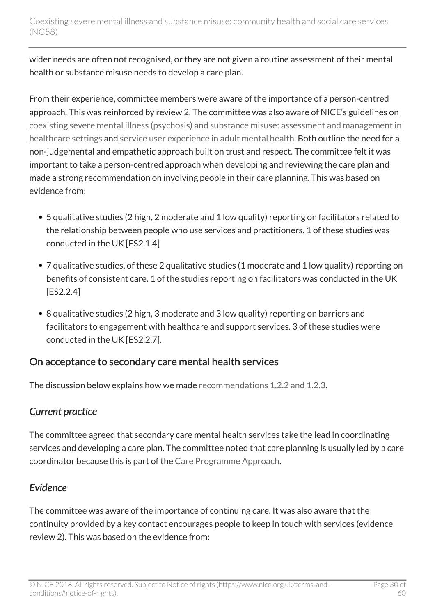wider needs are often not recognised, or they are not given a routine assessment of their mental health or substance misuse needs to develop a care plan.

From their experience, committee members were aware of the importance of a person-centred approach. This was reinforced by review 2. The committee was also aware of NICE's guidelines on [coexisting severe mental illness \(psychosis\) and substance misuse: assessment and management in](http://www.nice.org.uk/guidance/cg120) [healthcare settings](http://www.nice.org.uk/guidance/cg120) and [service user experience in adult mental health](http://www.nice.org.uk/guidance/cg136). Both outline the need for a non-judgemental and empathetic approach built on trust and respect. The committee felt it was important to take a person-centred approach when developing and reviewing the care plan and made a strong recommendation on involving people in their care planning. This was based on evidence from:

- 5 qualitative studies (2 high, 2 moderate and 1 low quality) reporting on facilitators related to the relationship between people who use services and practitioners. 1 of these studies was conducted in the UK [ES2.1.4]
- 7 qualitative studies, of these 2 qualitative studies (1 moderate and 1 low quality) reporting on benefits of consistent care. 1 of the studies reporting on facilitators was conducted in the UK [ES2.2.4]
- 8 qualitative studies (2 high, 3 moderate and 3 low quality) reporting on barriers and facilitators to engagement with healthcare and support services. 3 of these studies were conducted in the UK [ES2.2.7].

#### On acceptance to secondary care mental health services

The discussion below explains how we made [recommendations 1.2.2 and 1.2.3](http://live-publications.nice.org.uk/recommendations#on-acceptance-to-secondary-care-mental-health-services).

### *Current practice*

The committee agreed that secondary care mental health services take the lead in coordinating services and developing a care plan. The committee noted that care planning is usually led by a care coordinator because this is part of the [Care Programme Approach](http://webarchive.nationalarchives.gov.uk/+/www.dh.gov.uk/en/Publicationsandstatistics/Publications/DH_083650).

### *Evidence*

The committee was aware of the importance of continuing care. It was also aware that the continuity provided by a key contact encourages people to keep in touch with services (evidence review 2). This was based on the evidence from: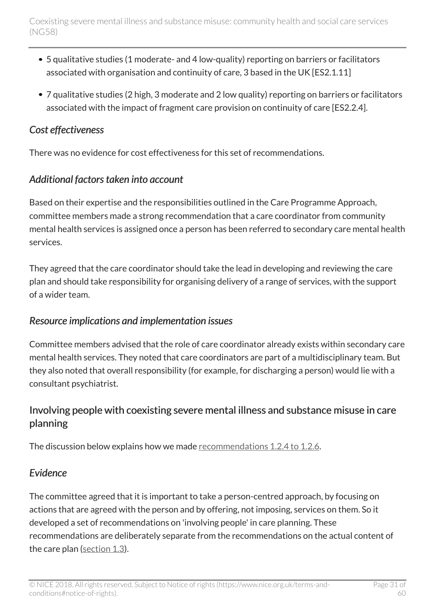- 5 qualitative studies (1 moderate- and 4 low-quality) reporting on barriers or facilitators associated with organisation and continuity of care, 3 based in the UK [ES2.1.11]
- 7 qualitative studies (2 high, 3 moderate and 2 low quality) reporting on barriers or facilitators associated with the impact of fragment care provision on continuity of care [ES2.2.4].

#### *Cost effectiveness*

There was no evidence for cost effectiveness for this set of recommendations.

#### *Additional factors taken into account*

Based on their expertise and the responsibilities outlined in the Care Programme Approach, committee members made a strong recommendation that a care coordinator from community mental health services is assigned once a person has been referred to secondary care mental health services.

They agreed that the care coordinator should take the lead in developing and reviewing the care plan and should take responsibility for organising delivery of a range of services, with the support of a wider team.

#### *Resource implications and implementation issues*

Committee members advised that the role of care coordinator already exists within secondary care mental health services. They noted that care coordinators are part of a multidisciplinary team. But they also noted that overall responsibility (for example, for discharging a person) would lie with a consultant psychiatrist.

#### Involving people with coexisting severe mental illness and substance misuse in care planning

The discussion below explains how we made [recommendations 1.2.4 to 1.2.6.](http://live-publications.nice.org.uk/recommendations#involving-people-with-coexisting-severe-mental-illness-and-substance-misuse-in-care-planning)

#### *Evidence*

The committee agreed that it is important to take a person-centred approach, by focusing on actions that are agreed with the person and by offering, not imposing, services on them. So it developed a set of recommendations on 'involving people' in care planning. These recommendations are deliberately separate from the recommendations on the actual content of the care plan [\(section 1.3](http://live-publications.nice.org.uk/recommendations#the-care-plan-multi-agency-approach-to-address-physical-health-social-care-housing-and-other)).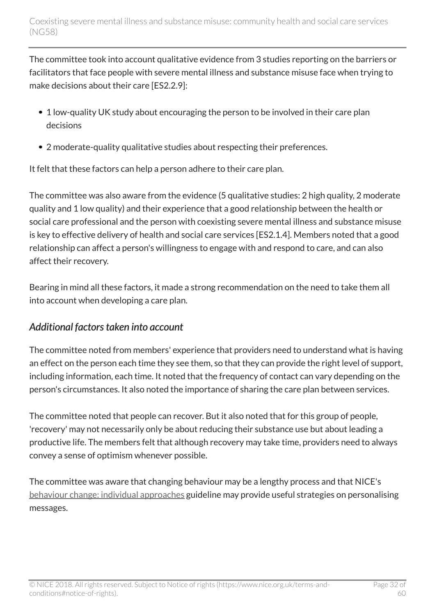The committee took into account qualitative evidence from 3 studies reporting on the barriers or facilitators that face people with severe mental illness and substance misuse face when trying to make decisions about their care [ES2.2.9]:

- 1 low-quality UK study about encouraging the person to be involved in their care plan decisions
- 2 moderate-quality qualitative studies about respecting their preferences.

It felt that these factors can help a person adhere to their care plan.

The committee was also aware from the evidence (5 qualitative studies: 2 high quality, 2 moderate quality and 1 low quality) and their experience that a good relationship between the health or social care professional and the person with coexisting severe mental illness and substance misuse is key to effective delivery of health and social care services [ES2.1.4]. Members noted that a good relationship can affect a person's willingness to engage with and respond to care, and can also affect their recovery.

Bearing in mind all these factors, it made a strong recommendation on the need to take them all into account when developing a care plan.

#### *Additional factors taken into account*

The committee noted from members' experience that providers need to understand what is having an effect on the person each time they see them, so that they can provide the right level of support, including information, each time. It noted that the frequency of contact can vary depending on the person's circumstances. It also noted the importance of sharing the care plan between services.

The committee noted that people can recover. But it also noted that for this group of people, 'recovery' may not necessarily only be about reducing their substance use but about leading a productive life. The members felt that although recovery may take time, providers need to always convey a sense of optimism whenever possible.

The committee was aware that changing behaviour may be a lengthy process and that NICE's [behaviour change: individual approaches](http://www.nice.org.uk/guidance/ph49) guideline may provide useful strategies on personalising messages.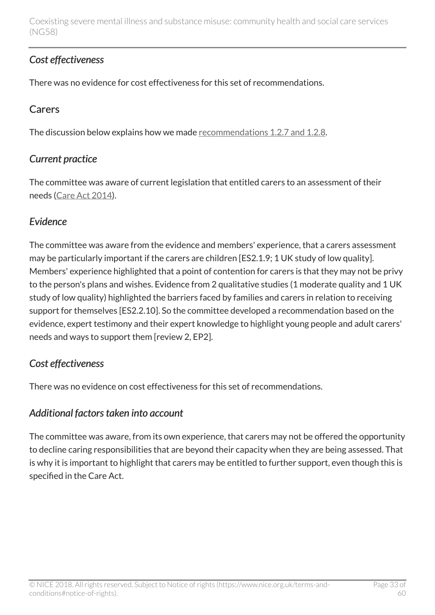#### *Cost effectiveness*

There was no evidence for cost effectiveness for this set of recommendations.

#### **Carers**

The discussion below explains how we made [recommendations 1.2.7 and 1.2.8](http://live-publications.nice.org.uk/recommendations#carers).

#### *Current practice*

The committee was aware of current legislation that entitled carers to an assessment of their needs [\(Care Act 2014](http://www.legislation.gov.uk/ukpga/2014/23/section/9/enacted)).

#### *Evidence*

The committee was aware from the evidence and members' experience, that a carers assessment may be particularly important if the carers are children [ES2.1.9; 1 UK study of low quality]. Members' experience highlighted that a point of contention for carers is that they may not be privy to the person's plans and wishes. Evidence from 2 qualitative studies (1 moderate quality and 1 UK study of low quality) highlighted the barriers faced by families and carers in relation to receiving support for themselves [ES2.2.10]. So the committee developed a recommendation based on the evidence, expert testimony and their expert knowledge to highlight young people and adult carers' needs and ways to support them [review 2, EP2].

#### *Cost effectiveness*

There was no evidence on cost effectiveness for this set of recommendations.

#### *Additional factors taken into account*

The committee was aware, from its own experience, that carers may not be offered the opportunity to decline caring responsibilities that are beyond their capacity when they are being assessed. That is why it is important to highlight that carers may be entitled to further support, even though this is specified in the Care Act.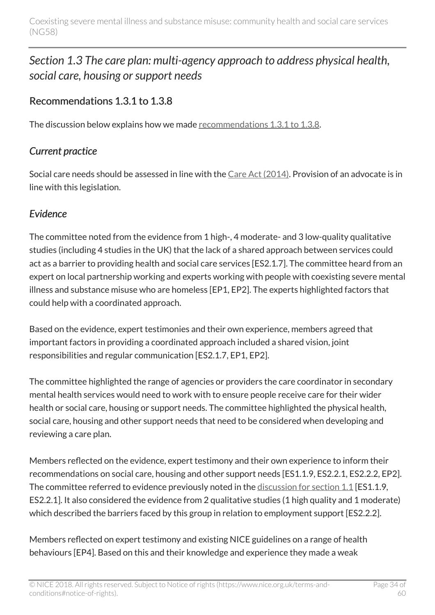## <span id="page-33-0"></span>*Section 1.3 The care plan: multi-agency approach to address physical health, social care, housing or support needs*

### Recommendations 1.3.1 to 1.3.8

The discussion below explains how we made [recommendations 1.3.1 to 1.3.8.](http://live-publications.nice.org.uk/recommendations#the-care-plan-multi-agency-approach-to-address-physical-health-social-care-housing-and-other)

### *Current practice*

Social care needs should be assessed in line with the [Care Act \(2014\)](http://www.legislation.gov.uk/ukpga/2014/23/contents/enacted). Provision of an advocate is in line with this legislation.

#### *Evidence*

The committee noted from the evidence from 1 high-, 4 moderate- and 3 low-quality qualitative studies (including 4 studies in the UK) that the lack of a shared approach between services could act as a barrier to providing health and social care services [ES2.1.7]. The committee heard from an expert on local partnership working and experts working with people with coexisting severe mental illness and substance misuse who are homeless [EP1, EP2]. The experts highlighted factors that could help with a coordinated approach.

Based on the evidence, expert testimonies and their own experience, members agreed that important factors in providing a coordinated approach included a shared vision, joint responsibilities and regular communication [ES2.1.7, EP1, EP2].

The committee highlighted the range of agencies or providers the care coordinator in secondary mental health services would need to work with to ensure people receive care for their wider health or social care, housing or support needs. The committee highlighted the physical health, social care, housing and other support needs that need to be considered when developing and reviewing a care plan.

Members reflected on the evidence, expert testimony and their own experience to inform their recommendations on social care, housing and other support needs [ES1.1.9, ES2.2.1, ES2.2.2, EP2]. The committee referred to evidence previously noted in the [discussion for section 1.1](http://live-publications.nice.org.uk/the-committees-discussion#section-11-first-contact-with-services) [ES1.1.9, ES2.2.1]. It also considered the evidence from 2 qualitative studies (1 high quality and 1 moderate) which described the barriers faced by this group in relation to employment support [ES2.2.2].

Members reflected on expert testimony and existing NICE guidelines on a range of health behaviours [EP4]. Based on this and their knowledge and experience they made a weak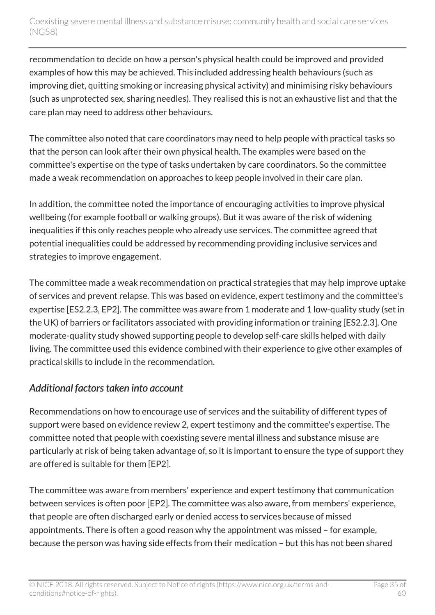recommendation to decide on how a person's physical health could be improved and provided examples of how this may be achieved. This included addressing health behaviours (such as improving diet, quitting smoking or increasing physical activity) and minimising risky behaviours (such as unprotected sex, sharing needles). They realised this is not an exhaustive list and that the care plan may need to address other behaviours.

The committee also noted that care coordinators may need to help people with practical tasks so that the person can look after their own physical health. The examples were based on the committee's expertise on the type of tasks undertaken by care coordinators. So the committee made a weak recommendation on approaches to keep people involved in their care plan.

In addition, the committee noted the importance of encouraging activities to improve physical wellbeing (for example football or walking groups). But it was aware of the risk of widening inequalities if this only reaches people who already use services. The committee agreed that potential inequalities could be addressed by recommending providing inclusive services and strategies to improve engagement.

The committee made a weak recommendation on practical strategies that may help improve uptake of services and prevent relapse. This was based on evidence, expert testimony and the committee's expertise [ES2.2.3, EP2]. The committee was aware from 1 moderate and 1 low-quality study (set in the UK) of barriers or facilitators associated with providing information or training [ES2.2.3]. One moderate-quality study showed supporting people to develop self-care skills helped with daily living. The committee used this evidence combined with their experience to give other examples of practical skills to include in the recommendation.

### *Additional factors taken into account*

Recommendations on how to encourage use of services and the suitability of different types of support were based on evidence review 2, expert testimony and the committee's expertise. The committee noted that people with coexisting severe mental illness and substance misuse are particularly at risk of being taken advantage of, so it is important to ensure the type of support they are offered is suitable for them [EP2].

The committee was aware from members' experience and expert testimony that communication between services is often poor [EP2]. The committee was also aware, from members' experience, that people are often discharged early or denied access to services because of missed appointments. There is often a good reason why the appointment was missed – for example, because the person was having side effects from their medication – but this has not been shared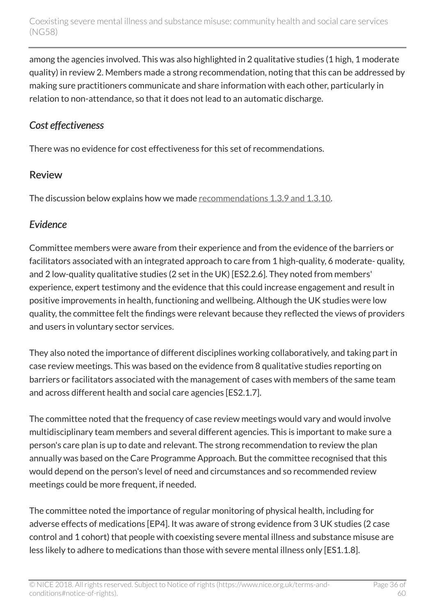among the agencies involved. This was also highlighted in 2 qualitative studies (1 high, 1 moderate quality) in review 2. Members made a strong recommendation, noting that this can be addressed by making sure practitioners communicate and share information with each other, particularly in relation to non-attendance, so that it does not lead to an automatic discharge.

### *Cost effectiveness*

There was no evidence for cost effectiveness for this set of recommendations.

### Review

The discussion below explains how we made [recommendations 1.3.9 and 1.3.10](http://live-publications.nice.org.uk/recommendations#review).

### *Evidence*

Committee members were aware from their experience and from the evidence of the barriers or facilitators associated with an integrated approach to care from 1 high-quality, 6 moderate- quality, and 2 low-quality qualitative studies (2 set in the UK) [ES2.2.6]. They noted from members' experience, expert testimony and the evidence that this could increase engagement and result in positive improvements in health, functioning and wellbeing. Although the UK studies were low quality, the committee felt the findings were relevant because they reflected the views of providers and users in voluntary sector services.

They also noted the importance of different disciplines working collaboratively, and taking part in case review meetings. This was based on the evidence from 8 qualitative studies reporting on barriers or facilitators associated with the management of cases with members of the same team and across different health and social care agencies [ES2.1.7].

The committee noted that the frequency of case review meetings would vary and would involve multidisciplinary team members and several different agencies. This is important to make sure a person's care plan is up to date and relevant. The strong recommendation to review the plan annually was based on the Care Programme Approach. But the committee recognised that this would depend on the person's level of need and circumstances and so recommended review meetings could be more frequent, if needed.

The committee noted the importance of regular monitoring of physical health, including for adverse effects of medications [EP4]. It was aware of strong evidence from 3 UK studies (2 case control and 1 cohort) that people with coexisting severe mental illness and substance misuse are less likely to adhere to medications than those with severe mental illness only [ES1.1.8].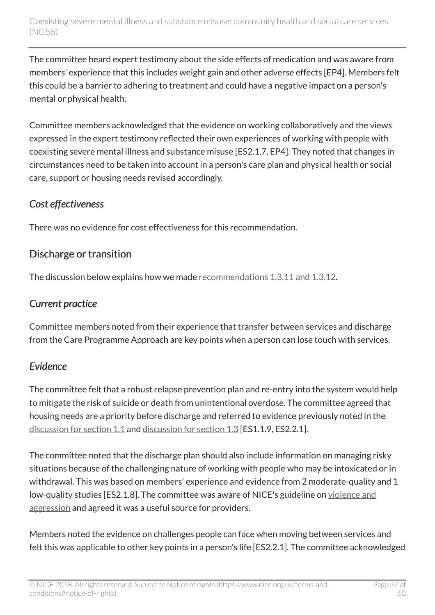The committee heard expert testimony about the side effects of medication and was aware from members' experience that this includes weight gain and other adverse effects [EP4]. Members felt this could be a barrier to adhering to treatment and could have a negative impact on a person's mental or physical health.

Committee members acknowledged that the evidence on working collaboratively and the views expressed in the expert testimony reflected their own experiences of working with people with coexisting severe mental illness and substance misuse [ES2.1.7, EP4]. They noted that changes in circumstances need to be taken into account in a person's care plan and physical health or social care, support or housing needs revised accordingly.

#### *Cost effectiveness*

There was no evidence for cost effectiveness for this recommendation.

### Discharge or transition

The discussion below explains how we made [recommendations 1.3.11 and 1.3.12](http://live-publications.nice.org.uk/recommendations#discharge-or-transition).

## *Current practice*

Committee members noted from their experience that transfer between services and discharge from the Care Programme Approach are key points when a person can lose touch with services.

## *Evidence*

The committee felt that a robust relapse prevention plan and re-entry into the system would help to mitigate the risk of suicide or death from unintentional overdose. The committee agreed that housing needs are a priority before discharge and referred to evidence previously noted in the [discussion for section 1.1](http://live-publications.nice.org.uk/the-committees-discussion#section-11-first-contact-with-services) and [discussion for section 1.3](http://live-publications.nice.org.uk/the-committees-discussion#section-13-the-care-plan-multi-agency-approach-to-address-physical-health-social-care-housing-or) [ES1.1.9, ES2.2.1].

The committee noted that the discharge plan should also include information on managing risky situations because of the challenging nature of working with people who may be intoxicated or in withdrawal. This was based on members' experience and evidence from 2 moderate-quality and 1 low-quality studies [ES2.1.8]. The committee was aware of NICE's guideline on [violence and](http://www.nice.org.uk/guidance/ng10) [aggression](http://www.nice.org.uk/guidance/ng10) and agreed it was a useful source for providers.

Members noted the evidence on challenges people can face when moving between services and felt this was applicable to other key points in a person's life [ES2.2.1]. The committee acknowledged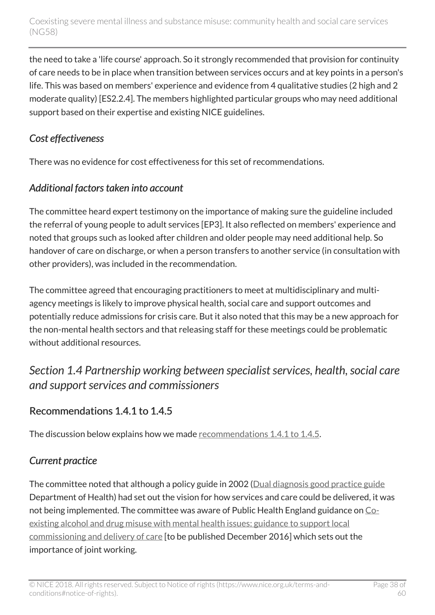the need to take a 'life course' approach. So it strongly recommended that provision for continuity of care needs to be in place when transition between services occurs and at key points in a person's life. This was based on members' experience and evidence from 4 qualitative studies (2 high and 2 moderate quality) [ES2.2.4]. The members highlighted particular groups who may need additional support based on their expertise and existing NICE guidelines.

#### *Cost effectiveness*

There was no evidence for cost effectiveness for this set of recommendations.

### *Additional factors taken into account*

The committee heard expert testimony on the importance of making sure the guideline included the referral of young people to adult services [EP3]. It also reflected on members' experience and noted that groups such as looked after children and older people may need additional help. So handover of care on discharge, or when a person transfers to another service (in consultation with other providers), was included in the recommendation.

The committee agreed that encouraging practitioners to meet at multidisciplinary and multiagency meetings is likely to improve physical health, social care and support outcomes and potentially reduce admissions for crisis care. But it also noted that this may be a new approach for the non-mental health sectors and that releasing staff for these meetings could be problematic without additional resources.

## <span id="page-37-0"></span>*Section 1.4 Partnership working between specialist services, health, social care and support services and commissioners*

## Recommendations 1.4.1 to 1.4.5

The discussion below explains how we made [recommendations 1.4.1 to 1.4.5.](http://live-publications.nice.org.uk/recommendations#partnership-working-between-specialist-services-health-social-care-and-other-support-services-and)

## *Current practice*

The committee noted that although a policy guide in 2002 [\(Dual diagnosis good practice guide](http://webarchive.nationalarchives.gov.uk/20070403003936/http:/www.dh.gov.uk/en/Publicationsandstatistics/Publications/PublicationsPolicyAndGuidance/DH_4009058) Department of Health) had set out the vision for how services and care could be delivered, it was not being implemented. The committee was aware of Public Health England guidance on [Co](http://www.nta.nhs.uk/CEADMMHI-Consultation-Draft-180116.aspx)[existing alcohol and drug misuse with mental health issues: guidance to support local](http://www.nta.nhs.uk/CEADMMHI-Consultation-Draft-180116.aspx) [commissioning and delivery of care](http://www.nta.nhs.uk/CEADMMHI-Consultation-Draft-180116.aspx) [to be published December 2016] which sets out the importance of joint working.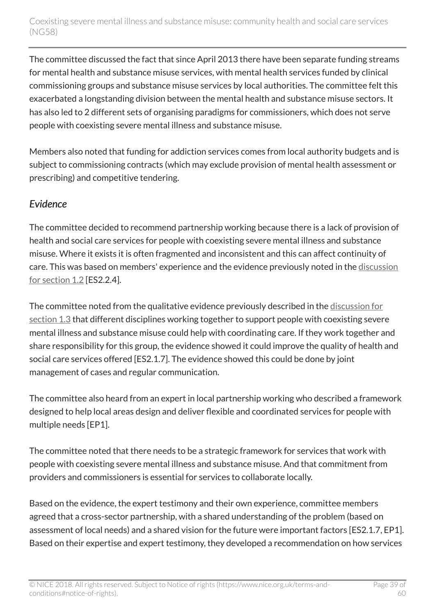The committee discussed the fact that since April 2013 there have been separate funding streams for mental health and substance misuse services, with mental health services funded by clinical commissioning groups and substance misuse services by local authorities. The committee felt this exacerbated a longstanding division between the mental health and substance misuse sectors. It has also led to 2 different sets of organising paradigms for commissioners, which does not serve people with coexisting severe mental illness and substance misuse.

Members also noted that funding for addiction services comes from local authority budgets and is subject to commissioning contracts (which may exclude provision of mental health assessment or prescribing) and competitive tendering.

#### *Evidence*

The committee decided to recommend partnership working because there is a lack of provision of health and social care services for people with coexisting severe mental illness and substance misuse. Where it exists it is often fragmented and inconsistent and this can affect continuity of care. This was based on members' experience and the evidence previously noted in the [discussion](http://live-publications.nice.org.uk/the-committees-discussion#section-12-referral-to-secondary-care-mental-health-services) [for section 1.2](http://live-publications.nice.org.uk/the-committees-discussion#section-12-referral-to-secondary-care-mental-health-services) [ES2.2.4].

The committee noted from the qualitative evidence previously described in the [discussion for](http://live-publications.nice.org.uk/the-committees-discussion#section-13-the-care-plan-multi-agency-approach-to-address-physical-health-social-care-housing-or) [section 1.3](http://live-publications.nice.org.uk/the-committees-discussion#section-13-the-care-plan-multi-agency-approach-to-address-physical-health-social-care-housing-or) that different disciplines working together to support people with coexisting severe mental illness and substance misuse could help with coordinating care. If they work together and share responsibility for this group, the evidence showed it could improve the quality of health and social care services offered [ES2.1.7]. The evidence showed this could be done by joint management of cases and regular communication.

The committee also heard from an expert in local partnership working who described a framework designed to help local areas design and deliver flexible and coordinated services for people with multiple needs [EP1].

The committee noted that there needs to be a strategic framework for services that work with people with coexisting severe mental illness and substance misuse. And that commitment from providers and commissioners is essential for services to collaborate locally.

Based on the evidence, the expert testimony and their own experience, committee members agreed that a cross-sector partnership, with a shared understanding of the problem (based on assessment of local needs) and a shared vision for the future were important factors [ES2.1.7, EP1]. Based on their expertise and expert testimony, they developed a recommendation on how services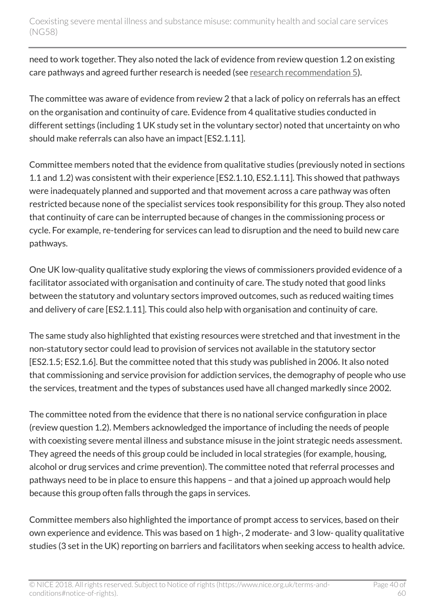need to work together. They also noted the lack of evidence from review question 1.2 on existing care pathways and agreed further research is needed (see [research recommendation 5](http://live-publications.nice.org.uk/recommendations-for-research#5-care-pathway)).

The committee was aware of evidence from review 2 that a lack of policy on referrals has an effect on the organisation and continuity of care. Evidence from 4 qualitative studies conducted in different settings (including 1 UK study set in the voluntary sector) noted that uncertainty on who should make referrals can also have an impact [ES2.1.11].

Committee members noted that the evidence from qualitative studies (previously noted in sections 1.1 and 1.2) was consistent with their experience [ES2.1.10, ES2.1.11]. This showed that pathways were inadequately planned and supported and that movement across a care pathway was often restricted because none of the specialist services took responsibility for this group. They also noted that continuity of care can be interrupted because of changes in the commissioning process or cycle. For example, re-tendering for services can lead to disruption and the need to build new care pathways.

One UK low-quality qualitative study exploring the views of commissioners provided evidence of a facilitator associated with organisation and continuity of care. The study noted that good links between the statutory and voluntary sectors improved outcomes, such as reduced waiting times and delivery of care [ES2.1.11]. This could also help with organisation and continuity of care.

The same study also highlighted that existing resources were stretched and that investment in the non-statutory sector could lead to provision of services not available in the statutory sector [ES2.1.5; ES2.1.6]. But the committee noted that this study was published in 2006. It also noted that commissioning and service provision for addiction services, the demography of people who use the services, treatment and the types of substances used have all changed markedly since 2002.

The committee noted from the evidence that there is no national service configuration in place (review question 1.2). Members acknowledged the importance of including the needs of people with coexisting severe mental illness and substance misuse in the joint strategic needs assessment. They agreed the needs of this group could be included in local strategies (for example, housing, alcohol or drug services and crime prevention). The committee noted that referral processes and pathways need to be in place to ensure this happens – and that a joined up approach would help because this group often falls through the gaps in services.

Committee members also highlighted the importance of prompt access to services, based on their own experience and evidence. This was based on 1 high-, 2 moderate- and 3 low- quality qualitative studies (3 set in the UK) reporting on barriers and facilitators when seeking access to health advice.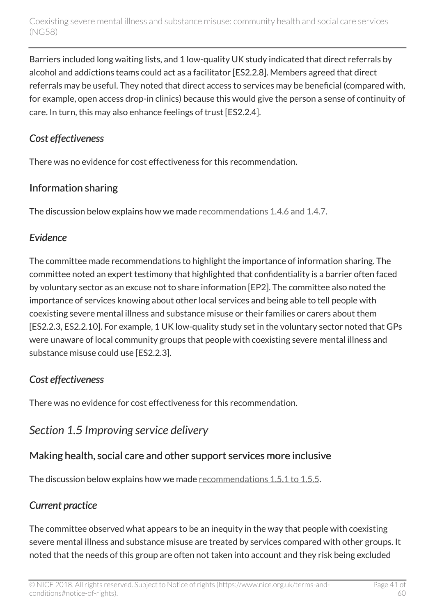Barriers included long waiting lists, and 1 low-quality UK study indicated that direct referrals by alcohol and addictions teams could act as a facilitator [ES2.2.8]. Members agreed that direct referrals may be useful. They noted that direct access to services may be beneficial (compared with, for example, open access drop-in clinics) because this would give the person a sense of continuity of care. In turn, this may also enhance feelings of trust [ES2.2.4].

#### *Cost effectiveness*

There was no evidence for cost effectiveness for this recommendation.

#### Information sharing

The discussion below explains how we made [recommendations 1.4.6 and 1.4.7](http://live-publications.nice.org.uk/recommendations#information-sharing).

### *Evidence*

The committee made recommendations to highlight the importance of information sharing. The committee noted an expert testimony that highlighted that confidentiality is a barrier often faced by voluntary sector as an excuse not to share information [EP2]. The committee also noted the importance of services knowing about other local services and being able to tell people with coexisting severe mental illness and substance misuse or their families or carers about them [ES2.2.3, ES2.2.10]. For example, 1 UK low-quality study set in the voluntary sector noted that GPs were unaware of local community groups that people with coexisting severe mental illness and substance misuse could use [ES2.2.3].

### *Cost effectiveness*

There was no evidence for cost effectiveness for this recommendation.

## <span id="page-40-0"></span>*Section 1.5 Improving service delivery*

## Making health, social care and other support services more inclusive

The discussion below explains how we made [recommendations 1.5.1 to 1.5.5.](http://live-publications.nice.org.uk/recommendations#improving-service-delivery)

## *Current practice*

The committee observed what appears to be an inequity in the way that people with coexisting severe mental illness and substance misuse are treated by services compared with other groups. It noted that the needs of this group are often not taken into account and they risk being excluded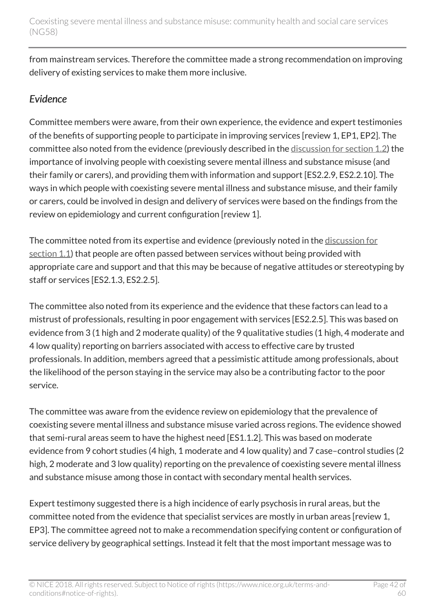from mainstream services. Therefore the committee made a strong recommendation on improving delivery of existing services to make them more inclusive.

#### *Evidence*

Committee members were aware, from their own experience, the evidence and expert testimonies of the benefits of supporting people to participate in improving services [review 1, EP1, EP2]. The committee also noted from the evidence (previously described in the [discussion for section 1.2](http://live-publications.nice.org.uk/the-committees-discussion#section-12-referral-to-secondary-care-mental-health-services)) the importance of involving people with coexisting severe mental illness and substance misuse (and their family or carers), and providing them with information and support [ES2.2.9, ES2.2.10]. The ways in which people with coexisting severe mental illness and substance misuse, and their family or carers, could be involved in design and delivery of services were based on the findings from the review on epidemiology and current configuration [review 1].

The committee noted from its expertise and evidence (previously noted in the [discussion for](http://live-publications.nice.org.uk/the-committees-discussion#section-11-first-contact-with-services) [section 1.1\)](http://live-publications.nice.org.uk/the-committees-discussion#section-11-first-contact-with-services) that people are often passed between services without being provided with appropriate care and support and that this may be because of negative attitudes or stereotyping by staff or services [ES2.1.3, ES2.2.5].

The committee also noted from its experience and the evidence that these factors can lead to a mistrust of professionals, resulting in poor engagement with services [ES2.2.5]. This was based on evidence from 3 (1 high and 2 moderate quality) of the 9 qualitative studies (1 high, 4 moderate and 4 low quality) reporting on barriers associated with access to effective care by trusted professionals. In addition, members agreed that a pessimistic attitude among professionals, about the likelihood of the person staying in the service may also be a contributing factor to the poor service.

The committee was aware from the evidence review on epidemiology that the prevalence of coexisting severe mental illness and substance misuse varied across regions. The evidence showed that semi-rural areas seem to have the highest need [ES1.1.2]. This was based on moderate evidence from 9 cohort studies (4 high, 1 moderate and 4 low quality) and 7 case–control studies (2 high, 2 moderate and 3 low quality) reporting on the prevalence of coexisting severe mental illness and substance misuse among those in contact with secondary mental health services.

Expert testimony suggested there is a high incidence of early psychosis in rural areas, but the committee noted from the evidence that specialist services are mostly in urban areas [review 1, EP3]. The committee agreed not to make a recommendation specifying content or configuration of service delivery by geographical settings. Instead it felt that the most important message was to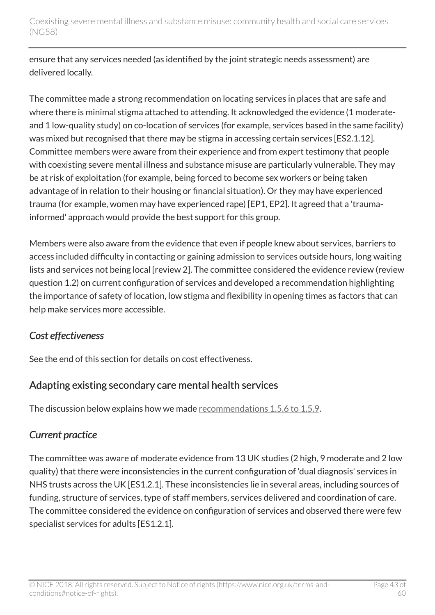ensure that any services needed (as identified by the joint strategic needs assessment) are delivered locally.

The committee made a strong recommendation on locating services in places that are safe and where there is minimal stigma attached to attending. It acknowledged the evidence (1 moderateand 1 low-quality study) on co-location of services (for example, services based in the same facility) was mixed but recognised that there may be stigma in accessing certain services [ES2.1.12]. Committee members were aware from their experience and from expert testimony that people with coexisting severe mental illness and substance misuse are particularly vulnerable. They may be at risk of exploitation (for example, being forced to become sex workers or being taken advantage of in relation to their housing or financial situation). Or they may have experienced trauma (for example, women may have experienced rape) [EP1, EP2]. It agreed that a 'traumainformed' approach would provide the best support for this group.

Members were also aware from the evidence that even if people knew about services, barriers to access included difficulty in contacting or gaining admission to services outside hours, long waiting lists and services not being local [review 2]. The committee considered the evidence review (review question 1.2) on current configuration of services and developed a recommendation highlighting the importance of safety of location, low stigma and flexibility in opening times as factors that can help make services more accessible.

#### *Cost effectiveness*

See the end of this section for details on cost effectiveness.

#### Adapting existing secondary care mental health services

The discussion below explains how we made [recommendations 1.5.6 to 1.5.9.](http://live-publications.nice.org.uk/recommendations#adapting-existing-secondary-care-mental-health-services)

### *Current practice*

The committee was aware of moderate evidence from 13 UK studies (2 high, 9 moderate and 2 low quality) that there were inconsistencies in the current configuration of 'dual diagnosis' services in NHS trusts across the UK [ES1.2.1]. These inconsistencies lie in several areas, including sources of funding, structure of services, type of staff members, services delivered and coordination of care. The committee considered the evidence on configuration of services and observed there were few specialist services for adults [ES1.2.1].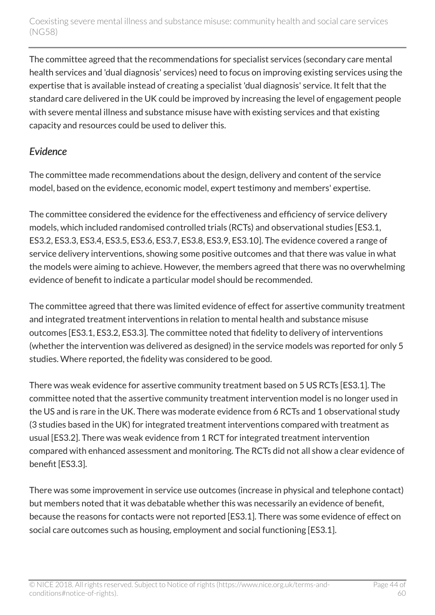The committee agreed that the recommendations for specialist services (secondary care mental health services and 'dual diagnosis' services) need to focus on improving existing services using the expertise that is available instead of creating a specialist 'dual diagnosis' service. It felt that the standard care delivered in the UK could be improved by increasing the level of engagement people with severe mental illness and substance misuse have with existing services and that existing capacity and resources could be used to deliver this.

#### *Evidence*

The committee made recommendations about the design, delivery and content of the service model, based on the evidence, economic model, expert testimony and members' expertise.

The committee considered the evidence for the effectiveness and efficiency of service delivery models, which included randomised controlled trials (RCTs) and observational studies [ES3.1, ES3.2, ES3.3, ES3.4, ES3.5, ES3.6, ES3.7, ES3.8, ES3.9, ES3.10]. The evidence covered a range of service delivery interventions, showing some positive outcomes and that there was value in what the models were aiming to achieve. However, the members agreed that there was no overwhelming evidence of benefit to indicate a particular model should be recommended.

The committee agreed that there was limited evidence of effect for assertive community treatment and integrated treatment interventions in relation to mental health and substance misuse outcomes [ES3.1, ES3.2, ES3.3]. The committee noted that fidelity to delivery of interventions (whether the intervention was delivered as designed) in the service models was reported for only 5 studies. Where reported, the fidelity was considered to be good.

There was weak evidence for assertive community treatment based on 5 US RCTs [ES3.1]. The committee noted that the assertive community treatment intervention model is no longer used in the US and is rare in the UK. There was moderate evidence from 6 RCTs and 1 observational study (3 studies based in the UK) for integrated treatment interventions compared with treatment as usual [ES3.2]. There was weak evidence from 1 RCT for integrated treatment intervention compared with enhanced assessment and monitoring. The RCTs did not all show a clear evidence of benefit [ES3.3].

There was some improvement in service use outcomes (increase in physical and telephone contact) but members noted that it was debatable whether this was necessarily an evidence of benefit, because the reasons for contacts were not reported [ES3.1]. There was some evidence of effect on social care outcomes such as housing, employment and social functioning [ES3.1].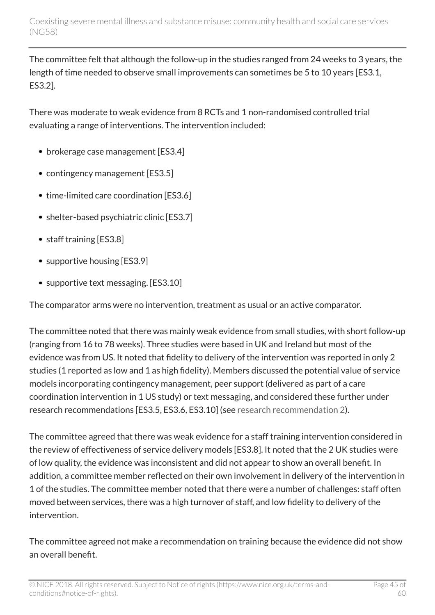The committee felt that although the follow-up in the studies ranged from 24 weeks to 3 years, the length of time needed to observe small improvements can sometimes be 5 to 10 years [ES3.1, ES3.2].

There was moderate to weak evidence from 8 RCTs and 1 non-randomised controlled trial evaluating a range of interventions. The intervention included:

- brokerage case management [ES3.4]
- contingency management [ES3.5]
- time-limited care coordination [ES3.6]
- shelter-based psychiatric clinic [ES3.7]
- staff training [ES3.8]
- supportive housing [ES3.9]
- supportive text messaging. [ES3.10]

The comparator arms were no intervention, treatment as usual or an active comparator.

The committee noted that there was mainly weak evidence from small studies, with short follow-up (ranging from 16 to 78 weeks). Three studies were based in UK and Ireland but most of the evidence was from US. It noted that fidelity to delivery of the intervention was reported in only 2 studies (1 reported as low and 1 as high fidelity). Members discussed the potential value of service models incorporating contingency management, peer support (delivered as part of a care coordination intervention in 1 US study) or text messaging, and considered these further under research recommendations [ES3.5, ES3.6, ES3.10] (see [research recommendation 2\)](http://live-publications.nice.org.uk/recommendations-for-research#2-what-works).

The committee agreed that there was weak evidence for a staff training intervention considered in the review of effectiveness of service delivery models [ES3.8]. It noted that the 2 UK studies were of low quality, the evidence was inconsistent and did not appear to show an overall benefit. In addition, a committee member reflected on their own involvement in delivery of the intervention in 1 of the studies. The committee member noted that there were a number of challenges: staff often moved between services, there was a high turnover of staff, and low fidelity to delivery of the intervention.

The committee agreed not make a recommendation on training because the evidence did not show an overall benefit.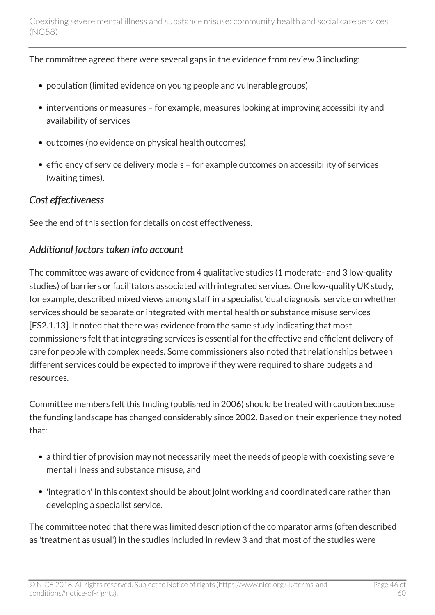The committee agreed there were several gaps in the evidence from review 3 including:

- population (limited evidence on young people and vulnerable groups)
- interventions or measures for example, measures looking at improving accessibility and availability of services
- outcomes (no evidence on physical health outcomes)
- efficiency of service delivery models for example outcomes on accessibility of services (waiting times).

#### *Cost effectiveness*

See the end of this section for details on cost effectiveness.

#### *Additional factors taken into account*

The committee was aware of evidence from 4 qualitative studies (1 moderate- and 3 low-quality studies) of barriers or facilitators associated with integrated services. One low-quality UK study, for example, described mixed views among staff in a specialist 'dual diagnosis' service on whether services should be separate or integrated with mental health or substance misuse services [ES2.1.13]. It noted that there was evidence from the same study indicating that most commissioners felt that integrating services is essential for the effective and efficient delivery of care for people with complex needs. Some commissioners also noted that relationships between different services could be expected to improve if they were required to share budgets and resources.

Committee members felt this finding (published in 2006) should be treated with caution because the funding landscape has changed considerably since 2002. Based on their experience they noted that:

- a third tier of provision may not necessarily meet the needs of people with coexisting severe mental illness and substance misuse, and
- 'integration' in this context should be about joint working and coordinated care rather than developing a specialist service.

The committee noted that there was limited description of the comparator arms (often described as 'treatment as usual') in the studies included in review 3 and that most of the studies were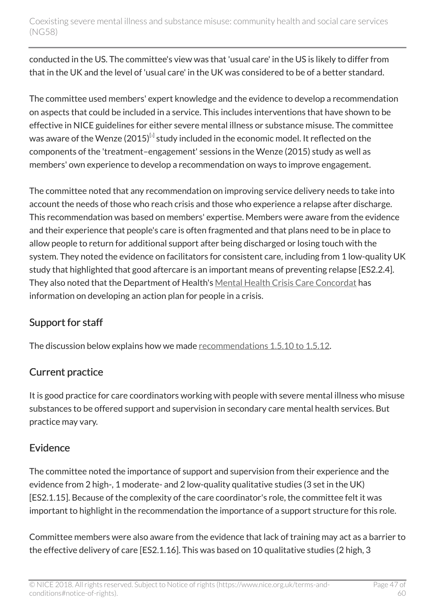conducted in the US. The committee's view was that 'usual care' in the US is likely to differ from that in the UK and the level of 'usual care' in the UK was considered to be of a better standard.

<span id="page-46-0"></span>The committee used members' expert knowledge and the evidence to develop a recommendation on aspects that could be included in a service. This includes interventions that have shown to be effective in NICE guidelines for either severe mental illness or substance misuse. The committee was aware of the Wenze (2015) $^{\text{\tiny{[s]}}}$  study included in the economic model. It reflected on the components of the 'treatment–engagement' sessions in the Wenze (2015) study as well as members' own experience to develop a recommendation on ways to improve engagement.

The committee noted that any recommendation on improving service delivery needs to take into account the needs of those who reach crisis and those who experience a relapse after discharge. This recommendation was based on members' expertise. Members were aware from the evidence and their experience that people's care is often fragmented and that plans need to be in place to allow people to return for additional support after being discharged or losing touch with the system. They noted the evidence on facilitators for consistent care, including from 1 low-quality UK study that highlighted that good aftercare is an important means of preventing relapse [ES2.2.4]. They also noted that the Department of Health's [Mental Health Crisis Care Concordat](http://www.crisiscareconcordat.org.uk/) has information on developing an action plan for people in a crisis.

#### Support for staff

The discussion below explains how we made [recommendations 1.5.10 to 1.5.12.](http://live-publications.nice.org.uk/recommendations#support-for-staff)

### Current practice

It is good practice for care coordinators working with people with severe mental illness who misuse substances to be offered support and supervision in secondary care mental health services. But practice may vary.

#### Evidence

The committee noted the importance of support and supervision from their experience and the evidence from 2 high-, 1 moderate- and 2 low-quality qualitative studies (3 set in the UK) [ES2.1.15]. Because of the complexity of the care coordinator's role, the committee felt it was important to highlight in the recommendation the importance of a support structure for this role.

Committee members were also aware from the evidence that lack of training may act as a barrier to the effective delivery of care [ES2.1.16]. This was based on 10 qualitative studies (2 high, 3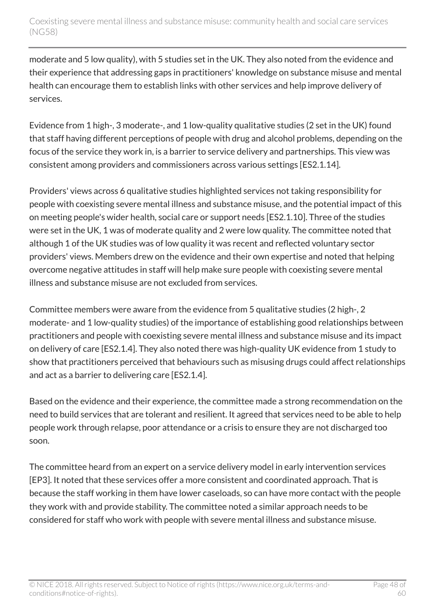moderate and 5 low quality), with 5 studies set in the UK. They also noted from the evidence and their experience that addressing gaps in practitioners' knowledge on substance misuse and mental health can encourage them to establish links with other services and help improve delivery of services.

Evidence from 1 high-, 3 moderate-, and 1 low-quality qualitative studies (2 set in the UK) found that staff having different perceptions of people with drug and alcohol problems, depending on the focus of the service they work in, is a barrier to service delivery and partnerships. This view was consistent among providers and commissioners across various settings [ES2.1.14].

Providers' views across 6 qualitative studies highlighted services not taking responsibility for people with coexisting severe mental illness and substance misuse, and the potential impact of this on meeting people's wider health, social care or support needs [ES2.1.10]. Three of the studies were set in the UK, 1 was of moderate quality and 2 were low quality. The committee noted that although 1 of the UK studies was of low quality it was recent and reflected voluntary sector providers' views. Members drew on the evidence and their own expertise and noted that helping overcome negative attitudes in staff will help make sure people with coexisting severe mental illness and substance misuse are not excluded from services.

Committee members were aware from the evidence from 5 qualitative studies (2 high-, 2 moderate- and 1 low-quality studies) of the importance of establishing good relationships between practitioners and people with coexisting severe mental illness and substance misuse and its impact on delivery of care [ES2.1.4]. They also noted there was high-quality UK evidence from 1 study to show that practitioners perceived that behaviours such as misusing drugs could affect relationships and act as a barrier to delivering care [ES2.1.4].

Based on the evidence and their experience, the committee made a strong recommendation on the need to build services that are tolerant and resilient. It agreed that services need to be able to help people work through relapse, poor attendance or a crisis to ensure they are not discharged too soon.

The committee heard from an expert on a service delivery model in early intervention services [EP3]. It noted that these services offer a more consistent and coordinated approach. That is because the staff working in them have lower caseloads, so can have more contact with the people they work with and provide stability. The committee noted a similar approach needs to be considered for staff who work with people with severe mental illness and substance misuse.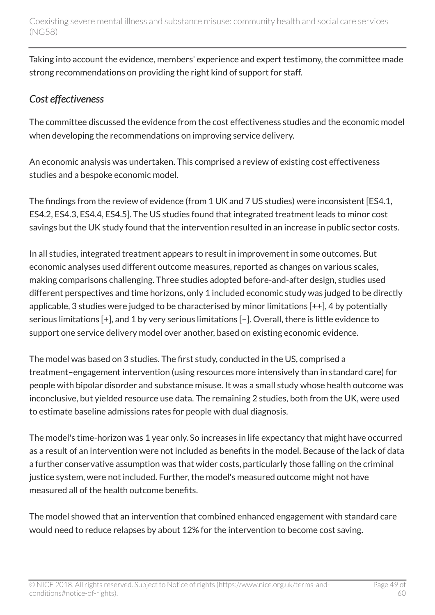Taking into account the evidence, members' experience and expert testimony, the committee made strong recommendations on providing the right kind of support for staff.

#### *Cost effectiveness*

The committee discussed the evidence from the cost effectiveness studies and the economic model when developing the recommendations on improving service delivery.

An economic analysis was undertaken. This comprised a review of existing cost effectiveness studies and a bespoke economic model.

The findings from the review of evidence (from 1 UK and 7 US studies) were inconsistent [ES4.1, ES4.2, ES4.3, ES4.4, ES4.5]. The US studies found that integrated treatment leads to minor cost savings but the UK study found that the intervention resulted in an increase in public sector costs.

In all studies, integrated treatment appears to result in improvement in some outcomes. But economic analyses used different outcome measures, reported as changes on various scales, making comparisons challenging. Three studies adopted before-and-after design, studies used different perspectives and time horizons, only 1 included economic study was judged to be directly applicable, 3 studies were judged to be characterised by minor limitations [++], 4 by potentially serious limitations [+], and 1 by very serious limitations [−]. Overall, there is little evidence to support one service delivery model over another, based on existing economic evidence.

The model was based on 3 studies. The first study, conducted in the US, comprised a treatment–engagement intervention (using resources more intensively than in standard care) for people with bipolar disorder and substance misuse. It was a small study whose health outcome was inconclusive, but yielded resource use data. The remaining 2 studies, both from the UK, were used to estimate baseline admissions rates for people with dual diagnosis.

The model's time-horizon was 1 year only. So increases in life expectancy that might have occurred as a result of an intervention were not included as benefits in the model. Because of the lack of data a further conservative assumption was that wider costs, particularly those falling on the criminal justice system, were not included. Further, the model's measured outcome might not have measured all of the health outcome benefits.

The model showed that an intervention that combined enhanced engagement with standard care would need to reduce relapses by about 12% for the intervention to become cost saving.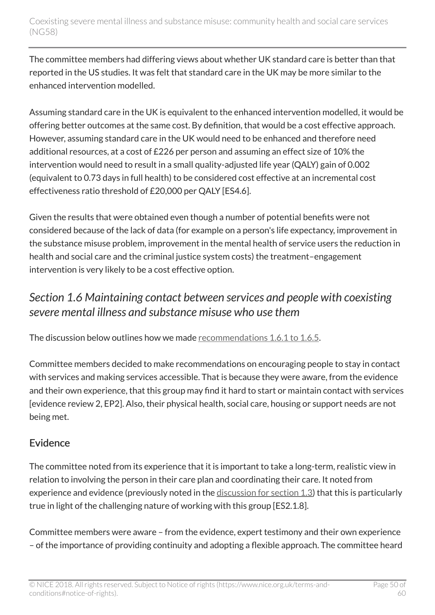The committee members had differing views about whether UK standard care is better than that reported in the US studies. It was felt that standard care in the UK may be more similar to the enhanced intervention modelled.

Assuming standard care in the UK is equivalent to the enhanced intervention modelled, it would be offering better outcomes at the same cost. By definition, that would be a cost effective approach. However, assuming standard care in the UK would need to be enhanced and therefore need additional resources, at a cost of £226 per person and assuming an effect size of 10% the intervention would need to result in a small quality-adjusted life year (QALY) gain of 0.002 (equivalent to 0.73 days in full health) to be considered cost effective at an incremental cost effectiveness ratio threshold of £20,000 per QALY [ES4.6].

Given the results that were obtained even though a number of potential benefits were not considered because of the lack of data (for example on a person's life expectancy, improvement in the substance misuse problem, improvement in the mental health of service users the reduction in health and social care and the criminal justice system costs) the treatment–engagement intervention is very likely to be a cost effective option.

## <span id="page-49-0"></span>*Section 1.6 Maintaining contact between services and people with coexisting severe mental illness and substance misuse who use them*

The discussion below outlines how we made [recommendations 1.6.1 to 1.6.5](http://live-publications.nice.org.uk/recommendations#maintaining-contact-between-services-and-people-with-coexisting-severe-mental-illness-and-substance).

Committee members decided to make recommendations on encouraging people to stay in contact with services and making services accessible. That is because they were aware, from the evidence and their own experience, that this group may find it hard to start or maintain contact with services [evidence review 2, EP2]. Also, their physical health, social care, housing or support needs are not being met.

### Evidence

The committee noted from its experience that it is important to take a long-term, realistic view in relation to involving the person in their care plan and coordinating their care. It noted from experience and evidence (previously noted in the [discussion for section 1.3](http://live-publications.nice.org.uk/the-committees-discussion#section-13-the-care-plan-multi-agency-approach-to-address-physical-health-social-care-housing-or)) that this is particularly true in light of the challenging nature of working with this group [ES2.1.8].

Committee members were aware – from the evidence, expert testimony and their own experience – of the importance of providing continuity and adopting a flexible approach. The committee heard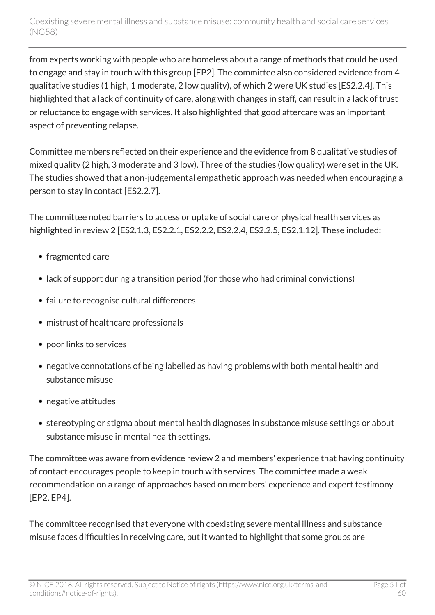from experts working with people who are homeless about a range of methods that could be used to engage and stay in touch with this group [EP2]. The committee also considered evidence from 4 qualitative studies (1 high, 1 moderate, 2 low quality), of which 2 were UK studies [ES2.2.4]. This highlighted that a lack of continuity of care, along with changes in staff, can result in a lack of trust or reluctance to engage with services. It also highlighted that good aftercare was an important aspect of preventing relapse.

Committee members reflected on their experience and the evidence from 8 qualitative studies of mixed quality (2 high, 3 moderate and 3 low). Three of the studies (low quality) were set in the UK. The studies showed that a non-judgemental empathetic approach was needed when encouraging a person to stay in contact [ES2.2.7].

The committee noted barriers to access or uptake of social care or physical health services as highlighted in review 2 [ES2.1.3, ES2.2.1, ES2.2.2, ES2.2.4, ES2.2.5, ES2.1.12]. These included:

- fragmented care
- lack of support during a transition period (for those who had criminal convictions)
- failure to recognise cultural differences
- mistrust of healthcare professionals
- poor links to services
- negative connotations of being labelled as having problems with both mental health and substance misuse
- negative attitudes
- stereotyping or stigma about mental health diagnoses in substance misuse settings or about substance misuse in mental health settings.

The committee was aware from evidence review 2 and members' experience that having continuity of contact encourages people to keep in touch with services. The committee made a weak recommendation on a range of approaches based on members' experience and expert testimony [EP2, EP4].

The committee recognised that everyone with coexisting severe mental illness and substance misuse faces difficulties in receiving care, but it wanted to highlight that some groups are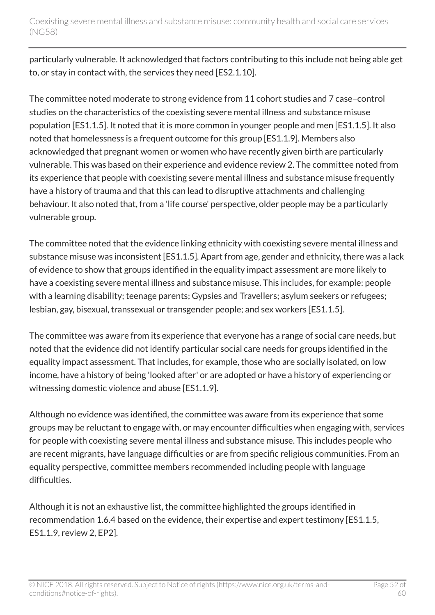particularly vulnerable. It acknowledged that factors contributing to this include not being able get to, or stay in contact with, the services they need [ES2.1.10].

The committee noted moderate to strong evidence from 11 cohort studies and 7 case–control studies on the characteristics of the coexisting severe mental illness and substance misuse population [ES1.1.5]. It noted that it is more common in younger people and men [ES1.1.5]. It also noted that homelessness is a frequent outcome for this group [ES1.1.9]. Members also acknowledged that pregnant women or women who have recently given birth are particularly vulnerable. This was based on their experience and evidence review 2. The committee noted from its experience that people with coexisting severe mental illness and substance misuse frequently have a history of trauma and that this can lead to disruptive attachments and challenging behaviour. It also noted that, from a 'life course' perspective, older people may be a particularly vulnerable group.

The committee noted that the evidence linking ethnicity with coexisting severe mental illness and substance misuse was inconsistent [ES1.1.5]. Apart from age, gender and ethnicity, there was a lack of evidence to show that groups identified in the equality impact assessment are more likely to have a coexisting severe mental illness and substance misuse. This includes, for example: people with a learning disability; teenage parents; Gypsies and Travellers; asylum seekers or refugees; lesbian, gay, bisexual, transsexual or transgender people; and sex workers [ES1.1.5].

The committee was aware from its experience that everyone has a range of social care needs, but noted that the evidence did not identify particular social care needs for groups identified in the equality impact assessment. That includes, for example, those who are socially isolated, on low income, have a history of being 'looked after' or are adopted or have a history of experiencing or witnessing domestic violence and abuse [ES1.1.9].

Although no evidence was identified, the committee was aware from its experience that some groups may be reluctant to engage with, or may encounter difficulties when engaging with, services for people with coexisting severe mental illness and substance misuse. This includes people who are recent migrants, have language difficulties or are from specific religious communities. From an equality perspective, committee members recommended including people with language difficulties.

Although it is not an exhaustive list, the committee highlighted the groups identified in recommendation 1.6.4 based on the evidence, their expertise and expert testimony [ES1.1.5, ES1.1.9, review 2, EP2].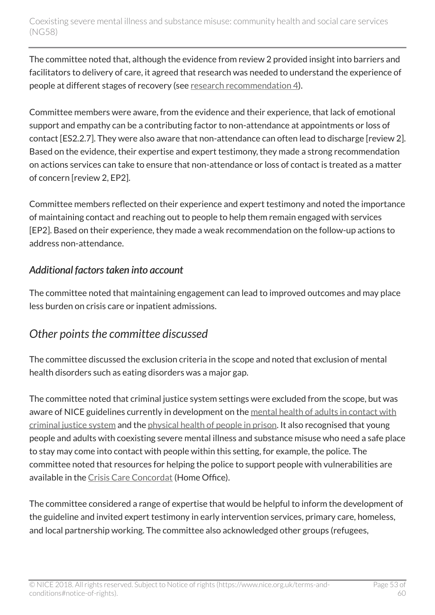The committee noted that, although the evidence from review 2 provided insight into barriers and facilitators to delivery of care, it agreed that research was needed to understand the experience of people at different stages of recovery (see [research recommendation 4\)](http://live-publications.nice.org.uk/recommendations-for-research#4-barriers-and-facilitators).

Committee members were aware, from the evidence and their experience, that lack of emotional support and empathy can be a contributing factor to non-attendance at appointments or loss of contact [ES2.2.7]. They were also aware that non-attendance can often lead to discharge [review 2]. Based on the evidence, their expertise and expert testimony, they made a strong recommendation on actions services can take to ensure that non-attendance or loss of contact is treated as a matter of concern [review 2, EP2].

Committee members reflected on their experience and expert testimony and noted the importance of maintaining contact and reaching out to people to help them remain engaged with services [EP2]. Based on their experience, they made a weak recommendation on the follow-up actions to address non-attendance.

#### *Additional factors taken into account*

The committee noted that maintaining engagement can lead to improved outcomes and may place less burden on crisis care or inpatient admissions.

## <span id="page-52-0"></span>*Other points the committee discussed*

The committee discussed the exclusion criteria in the scope and noted that exclusion of mental health disorders such as eating disorders was a major gap.

The committee noted that criminal justice system settings were excluded from the scope, but was aware of NICE guidelines currently in development on the [mental health of adults in contact with](https://www.nice.org.uk/guidance/indevelopment/gid-cgwave0726) [criminal justice system](https://www.nice.org.uk/guidance/indevelopment/gid-cgwave0726) and the [physical health of people in prison.](http://www.nice.org.uk/guidance/indevelopment/gid-cgwave0729) It also recognised that young people and adults with coexisting severe mental illness and substance misuse who need a safe place to stay may come into contact with people within this setting, for example, the police. The committee noted that resources for helping the police to support people with vulnerabilities are available in the [Crisis Care Concordat](http://www.crisiscareconcordat.org.uk/inspiration/home-office-helping-the-police-to-support-people-with-vulnerabilities/) (Home Office).

The committee considered a range of expertise that would be helpful to inform the development of the guideline and invited expert testimony in early intervention services, primary care, homeless, and local partnership working. The committee also acknowledged other groups (refugees,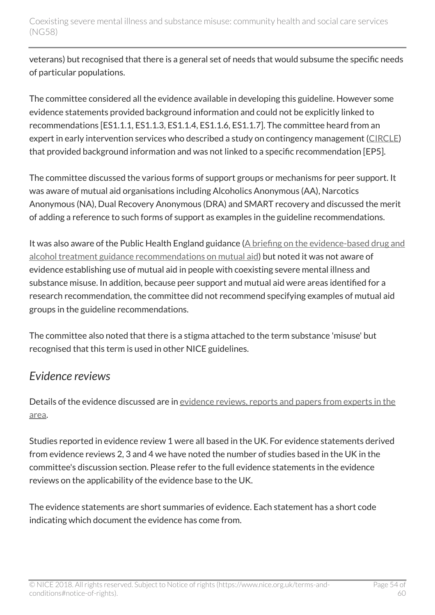veterans) but recognised that there is a general set of needs that would subsume the specific needs of particular populations.

The committee considered all the evidence available in developing this guideline. However some evidence statements provided background information and could not be explicitly linked to recommendations [ES1.1.1, ES1.1.3, ES1.1.4, ES1.1.6, ES1.1.7]. The committee heard from an expert in early intervention services who described a study on contingency management ([CIRCLE](http://www.controlled-trials.com/ISRCTN33576045)) that provided background information and was not linked to a specific recommendation [EP5].

The committee discussed the various forms of support groups or mechanisms for peer support. It was aware of mutual aid organisations including Alcoholics Anonymous (AA), Narcotics Anonymous (NA), Dual Recovery Anonymous (DRA) and SMART recovery and discussed the merit of adding a reference to such forms of support as examples in the guideline recommendations.

It was also aware of the Public Health England guidance ([A briefing on the evidence-based drug and](http://www.drugsandalcohol.ie/21090/) [alcohol treatment guidance recommendations on mutual aid](http://www.drugsandalcohol.ie/21090/)) but noted it was not aware of evidence establishing use of mutual aid in people with coexisting severe mental illness and substance misuse. In addition, because peer support and mutual aid were areas identified for a research recommendation, the committee did not recommend specifying examples of mutual aid groups in the guideline recommendations.

The committee also noted that there is a stigma attached to the term substance 'misuse' but recognised that this term is used in other NICE guidelines.

### <span id="page-53-0"></span>*Evidence reviews*

Details of the evidence discussed are in [evidence reviews, reports and papers from experts in the](http://www.nice.org.uk/Guidance/NG58/evidence) [area](http://www.nice.org.uk/Guidance/NG58/evidence).

Studies reported in evidence review 1 were all based in the UK. For evidence statements derived from evidence reviews 2, 3 and 4 we have noted the number of studies based in the UK in the committee's discussion section. Please refer to the full evidence statements in the evidence reviews on the applicability of the evidence base to the UK.

The evidence statements are short summaries of evidence. Each statement has a short code indicating which document the evidence has come from.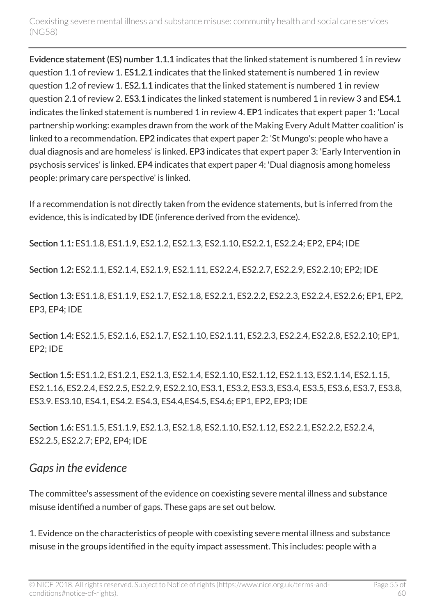Evidence statement (ES) number 1.1.1 indicates that the linked statement is numbered 1 in review question 1.1 of review 1. ES1.2.1 indicates that the linked statement is numbered 1 in review question 1.2 of review 1. ES2.1.1 indicates that the linked statement is numbered 1 in review question 2.1 of review 2. ES3.1 indicates the linked statement is numbered 1 in review 3 and ES4.1 indicates the linked statement is numbered 1 in review 4. EP1 indicates that expert paper 1: 'Local partnership working: examples drawn from the work of the Making Every Adult Matter coalition' is linked to a recommendation. EP2 indicates that expert paper 2: 'St Mungo's: people who have a dual diagnosis and are homeless' is linked. EP3 indicates that expert paper 3: 'Early Intervention in psychosis services' is linked. EP4 indicates that expert paper 4: 'Dual diagnosis among homeless people: primary care perspective' is linked.

If a recommendation is not directly taken from the evidence statements, but is inferred from the evidence, this is indicated by IDE (inference derived from the evidence).

Section 1.1: ES1.1.8, ES1.1.9, ES2.1.2, ES2.1.3, ES2.1.10, ES2.2.1, ES2.2.4; EP2, EP4; IDE

Section 1.2: ES2.1.1, ES2.1.4, ES2.1.9, ES2.1.11, ES2.2.4, ES2.2.7, ES2.2.9, ES2.2.10; EP2; IDE

Section 1.3: ES1.1.8, ES1.1.9, ES2.1.7, ES2.1.8, ES2.2.1, ES2.2.2, ES2.2.3, ES2.2.4, ES2.2.6; EP1, EP2, EP3, EP4; IDE

Section 1.4: ES2.1.5, ES2.1.6, ES2.1.7, ES2.1.10, ES2.1.11, ES2.2.3, ES2.2.4, ES2.2.8, ES2.2.10; EP1, EP2; IDE

Section 1.5: ES1.1.2, ES1.2.1, ES2.1.3, ES2.1.4, ES2.1.10, ES2.1.12, ES2.1.13, ES2.1.14, ES2.1.15, ES2.1.16, ES2.2.4, ES2.2.5, ES2.2.9, ES2.2.10, ES3.1, ES3.2, ES3.3, ES3.4, ES3.5, ES3.6, ES3.7, ES3.8, ES3.9. ES3.10, ES4.1, ES4.2. ES4.3, ES4.4,ES4.5, ES4.6; EP1, EP2, EP3; IDE

Section 1.6: ES1.1.5, ES1.1.9, ES2.1.3, ES2.1.8, ES2.1.10, ES2.1.12, ES2.2.1, ES2.2.2, ES2.2.4, ES2.2.5, ES2.2.7; EP2, EP4; IDE

### <span id="page-54-0"></span>*Gaps in the evidence*

The committee's assessment of the evidence on coexisting severe mental illness and substance misuse identified a number of gaps. These gaps are set out below.

1. Evidence on the characteristics of people with coexisting severe mental illness and substance misuse in the groups identified in the equity impact assessment. This includes: people with a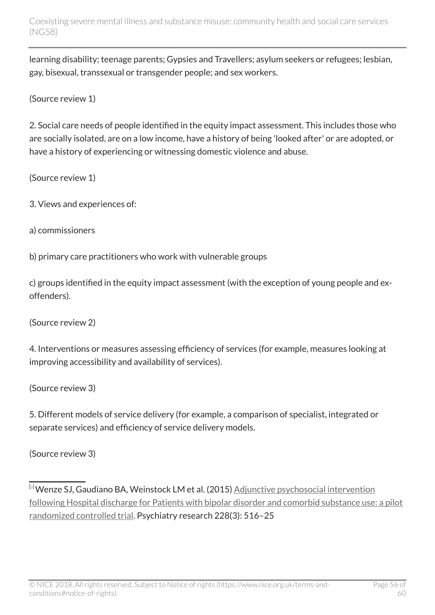learning disability; teenage parents; Gypsies and Travellers; asylum seekers or refugees; lesbian, gay, bisexual, transsexual or transgender people; and sex workers.

(Source review 1)

2. Social care needs of people identified in the equity impact assessment. This includes those who are socially isolated, are on a low income, have a history of being 'looked after' or are adopted, or have a history of experiencing or witnessing domestic violence and abuse.

(Source review 1)

- 3. Views and experiences of:
- a) commissioners

b) primary care practitioners who work with vulnerable groups

c) groups identified in the equity impact assessment (with the exception of young people and exoffenders).

(Source review 2)

4. Interventions or measures assessing efficiency of services (for example, measures looking at improving accessibility and availability of services).

(Source review 3)

5. Different models of service delivery (for example, a comparison of specialist, integrated or separate services) and efficiency of service delivery models.

(Source review 3)

<span id="page-55-0"></span>[[3](#page-46-0)] Wenze SJ, Gaudiano BA, Weinstock LM et al. (2015) [Adjunctive psychosocial intervention](http://www.ncbi.nlm.nih.gov/pubmed/26117247) [following Hospital discharge for Patients with bipolar disorder and comorbid substance use: a pilot](http://www.ncbi.nlm.nih.gov/pubmed/26117247) [randomized controlled trial](http://www.ncbi.nlm.nih.gov/pubmed/26117247). Psychiatry research 228(3): 516–25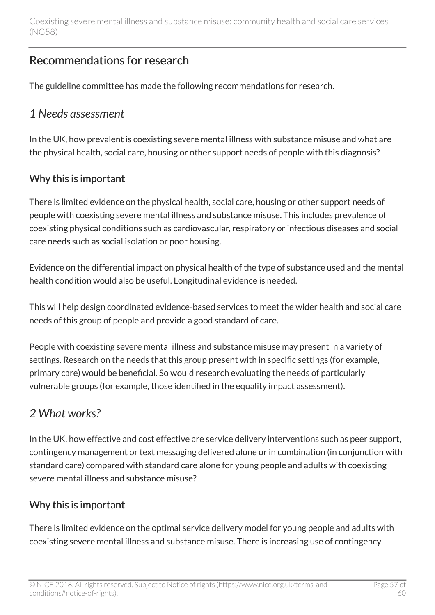## <span id="page-56-0"></span>Recommendations for research

The guideline committee has made the following recommendations for research.

### <span id="page-56-1"></span>*1 Needs assessment*

In the UK, how prevalent is coexisting severe mental illness with substance misuse and what are the physical health, social care, housing or other support needs of people with this diagnosis?

### Why this is important

There is limited evidence on the physical health, social care, housing or other support needs of people with coexisting severe mental illness and substance misuse. This includes prevalence of coexisting physical conditions such as cardiovascular, respiratory or infectious diseases and social care needs such as social isolation or poor housing.

Evidence on the differential impact on physical health of the type of substance used and the mental health condition would also be useful. Longitudinal evidence is needed.

This will help design coordinated evidence-based services to meet the wider health and social care needs of this group of people and provide a good standard of care.

People with coexisting severe mental illness and substance misuse may present in a variety of settings. Research on the needs that this group present with in specific settings (for example, primary care) would be beneficial. So would research evaluating the needs of particularly vulnerable groups (for example, those identified in the equality impact assessment).

## <span id="page-56-2"></span>*2 What works?*

In the UK, how effective and cost effective are service delivery interventions such as peer support, contingency management or text messaging delivered alone or in combination (in conjunction with standard care) compared with standard care alone for young people and adults with coexisting severe mental illness and substance misuse?

#### Why this is important

There is limited evidence on the optimal service delivery model for young people and adults with coexisting severe mental illness and substance misuse. There is increasing use of contingency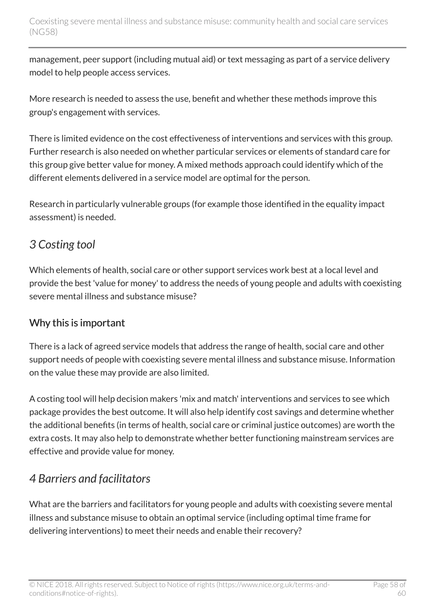management, peer support (including mutual aid) or text messaging as part of a service delivery model to help people access services.

More research is needed to assess the use, benefit and whether these methods improve this group's engagement with services.

There is limited evidence on the cost effectiveness of interventions and services with this group. Further research is also needed on whether particular services or elements of standard care for this group give better value for money. A mixed methods approach could identify which of the different elements delivered in a service model are optimal for the person.

Research in particularly vulnerable groups (for example those identified in the equality impact assessment) is needed.

## <span id="page-57-0"></span>*3 Costing tool*

Which elements of health, social care or other support services work best at a local level and provide the best 'value for money' to address the needs of young people and adults with coexisting severe mental illness and substance misuse?

### Why this is important

There is a lack of agreed service models that address the range of health, social care and other support needs of people with coexisting severe mental illness and substance misuse. Information on the value these may provide are also limited.

A costing tool will help decision makers 'mix and match' interventions and services to see which package provides the best outcome. It will also help identify cost savings and determine whether the additional benefits (in terms of health, social care or criminal justice outcomes) are worth the extra costs. It may also help to demonstrate whether better functioning mainstream services are effective and provide value for money.

## <span id="page-57-1"></span>*4 Barriers and facilitators*

What are the barriers and facilitators for young people and adults with coexisting severe mental illness and substance misuse to obtain an optimal service (including optimal time frame for delivering interventions) to meet their needs and enable their recovery?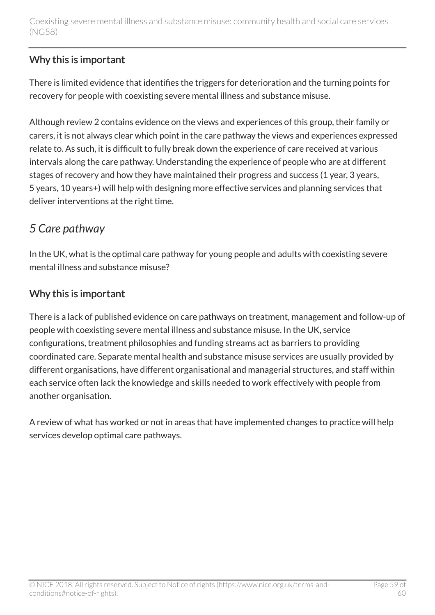#### Why this is important

There is limited evidence that identifies the triggers for deterioration and the turning points for recovery for people with coexisting severe mental illness and substance misuse.

Although review 2 contains evidence on the views and experiences of this group, their family or carers, it is not always clear which point in the care pathway the views and experiences expressed relate to. As such, it is difficult to fully break down the experience of care received at various intervals along the care pathway. Understanding the experience of people who are at different stages of recovery and how they have maintained their progress and success (1 year, 3 years, 5 years, 10 years+) will help with designing more effective services and planning services that deliver interventions at the right time.

## <span id="page-58-0"></span>*5 Care pathway*

In the UK, what is the optimal care pathway for young people and adults with coexisting severe mental illness and substance misuse?

#### Why this is important

There is a lack of published evidence on care pathways on treatment, management and follow-up of people with coexisting severe mental illness and substance misuse. In the UK, service configurations, treatment philosophies and funding streams act as barriers to providing coordinated care. Separate mental health and substance misuse services are usually provided by different organisations, have different organisational and managerial structures, and staff within each service often lack the knowledge and skills needed to work effectively with people from another organisation.

A review of what has worked or not in areas that have implemented changes to practice will help services develop optimal care pathways.